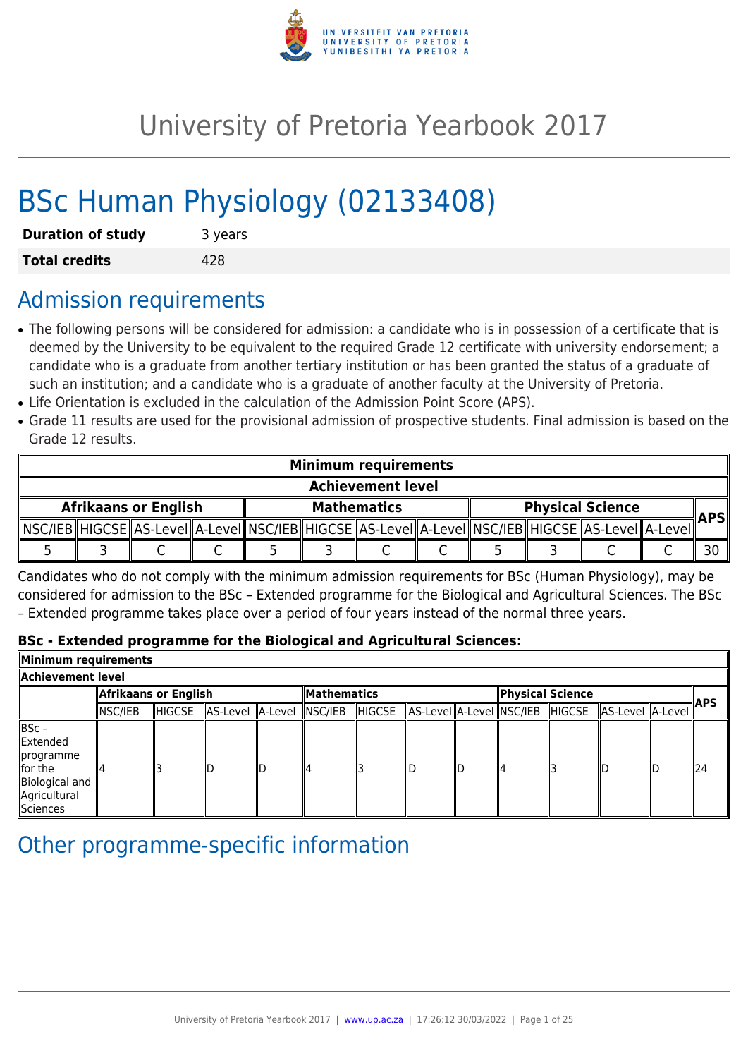

# University of Pretoria Yearbook 2017

# BSc Human Physiology (02133408)

| <b>Duration of study</b> | 3 years |
|--------------------------|---------|
| <b>Total credits</b>     | 428     |

# Admission requirements

- The following persons will be considered for admission: a candidate who is in possession of a certificate that is deemed by the University to be equivalent to the required Grade 12 certificate with university endorsement; a candidate who is a graduate from another tertiary institution or has been granted the status of a graduate of such an institution; and a candidate who is a graduate of another faculty at the University of Pretoria.
- Life Orientation is excluded in the calculation of the Admission Point Score (APS).
- Grade 11 results are used for the provisional admission of prospective students. Final admission is based on the Grade 12 results.

| <b>Minimum requirements</b> |                          |  |  |  |  |                    |  |                                                                                                            |     |
|-----------------------------|--------------------------|--|--|--|--|--------------------|--|------------------------------------------------------------------------------------------------------------|-----|
|                             | <b>Achievement level</b> |  |  |  |  |                    |  |                                                                                                            |     |
| <b>Afrikaans or English</b> |                          |  |  |  |  | <b>Mathematics</b> |  | <b>Physical Science</b>                                                                                    | APS |
|                             |                          |  |  |  |  |                    |  | NSC/IEB  HIGCSE  AS-Level  A-Level  NSC/IEB  HIGCSE  AS-Level  A-Level  NSC/IEB  HIGCSE  AS-Level  A-Level |     |
|                             |                          |  |  |  |  |                    |  |                                                                                                            |     |

Candidates who do not comply with the minimum admission requirements for BSc (Human Physiology), may be considered for admission to the BSc – Extended programme for the Biological and Agricultural Sciences. The BSc – Extended programme takes place over a period of four years instead of the normal three years.

# **BSc - Extended programme for the Biological and Agricultural Sciences:**

| Minimum requirements                                                                        |                      |        |                          |  |                    |         |  |                  |  |  |                                                          |            |     |
|---------------------------------------------------------------------------------------------|----------------------|--------|--------------------------|--|--------------------|---------|--|------------------|--|--|----------------------------------------------------------|------------|-----|
| Achievement level                                                                           |                      |        |                          |  |                    |         |  |                  |  |  |                                                          |            |     |
|                                                                                             | Afrikaans or English |        |                          |  | <b>Mathematics</b> |         |  | Physical Science |  |  |                                                          | <b>APS</b> |     |
|                                                                                             | NSC/IEB              | HIGCSE | AS-Level A-Level NSC/IEB |  |                    | ∥HIGCSE |  |                  |  |  | AS-Level  A-Level  NSC/IEB   HIGCSE   AS-Level   A-Level |            |     |
| ∥BSc –<br>Extended<br>∥programme<br>llfor the<br>Biological and<br>Agricultural<br>Sciences |                      |        | ID                       |  |                    |         |  |                  |  |  | lID                                                      |            | 124 |

# Other programme-specific information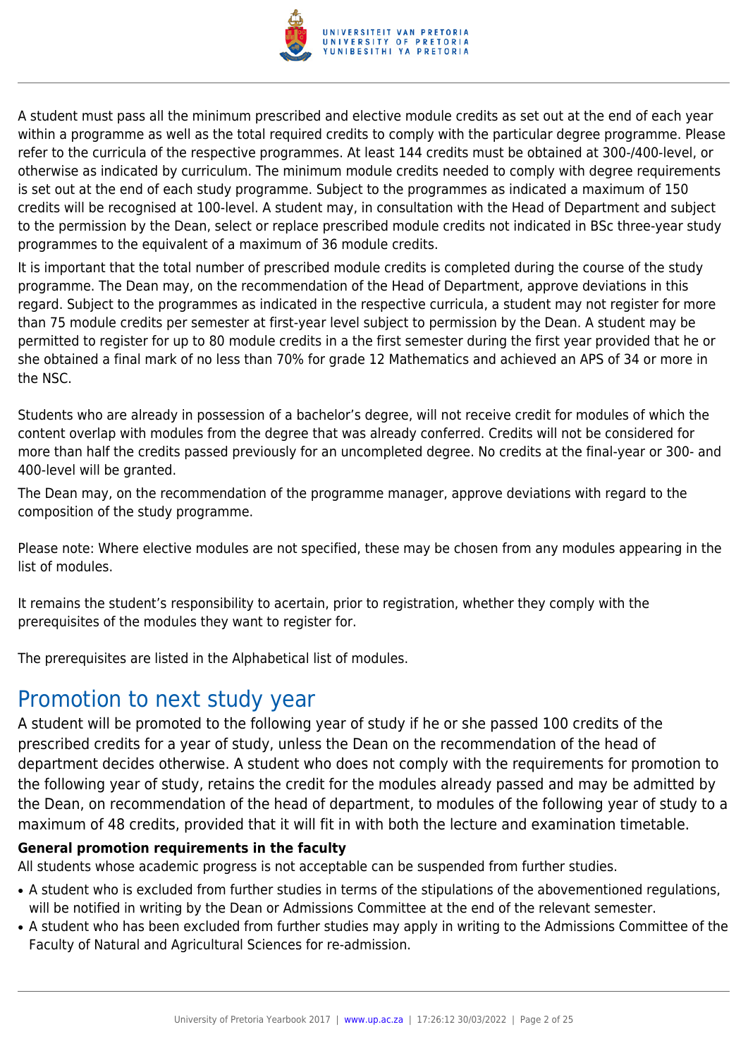

A student must pass all the minimum prescribed and elective module credits as set out at the end of each year within a programme as well as the total required credits to comply with the particular degree programme. Please refer to the curricula of the respective programmes. At least 144 credits must be obtained at 300-/400-level, or otherwise as indicated by curriculum. The minimum module credits needed to comply with degree requirements is set out at the end of each study programme. Subject to the programmes as indicated a maximum of 150 credits will be recognised at 100-level. A student may, in consultation with the Head of Department and subject to the permission by the Dean, select or replace prescribed module credits not indicated in BSc three-year study programmes to the equivalent of a maximum of 36 module credits.

It is important that the total number of prescribed module credits is completed during the course of the study programme. The Dean may, on the recommendation of the Head of Department, approve deviations in this regard. Subject to the programmes as indicated in the respective curricula, a student may not register for more than 75 module credits per semester at first-year level subject to permission by the Dean. A student may be permitted to register for up to 80 module credits in a the first semester during the first year provided that he or she obtained a final mark of no less than 70% for grade 12 Mathematics and achieved an APS of 34 or more in the NSC.

Students who are already in possession of a bachelor's degree, will not receive credit for modules of which the content overlap with modules from the degree that was already conferred. Credits will not be considered for more than half the credits passed previously for an uncompleted degree. No credits at the final-year or 300- and 400-level will be granted.

The Dean may, on the recommendation of the programme manager, approve deviations with regard to the composition of the study programme.

Please note: Where elective modules are not specified, these may be chosen from any modules appearing in the list of modules.

It remains the student's responsibility to acertain, prior to registration, whether they comply with the prerequisites of the modules they want to register for.

The prerequisites are listed in the Alphabetical list of modules.

# Promotion to next study year

A student will be promoted to the following year of study if he or she passed 100 credits of the prescribed credits for a year of study, unless the Dean on the recommendation of the head of department decides otherwise. A student who does not comply with the requirements for promotion to the following year of study, retains the credit for the modules already passed and may be admitted by the Dean, on recommendation of the head of department, to modules of the following year of study to a maximum of 48 credits, provided that it will fit in with both the lecture and examination timetable.

# **General promotion requirements in the faculty**

All students whose academic progress is not acceptable can be suspended from further studies.

- A student who is excluded from further studies in terms of the stipulations of the abovementioned regulations, will be notified in writing by the Dean or Admissions Committee at the end of the relevant semester.
- A student who has been excluded from further studies may apply in writing to the Admissions Committee of the Faculty of Natural and Agricultural Sciences for re-admission.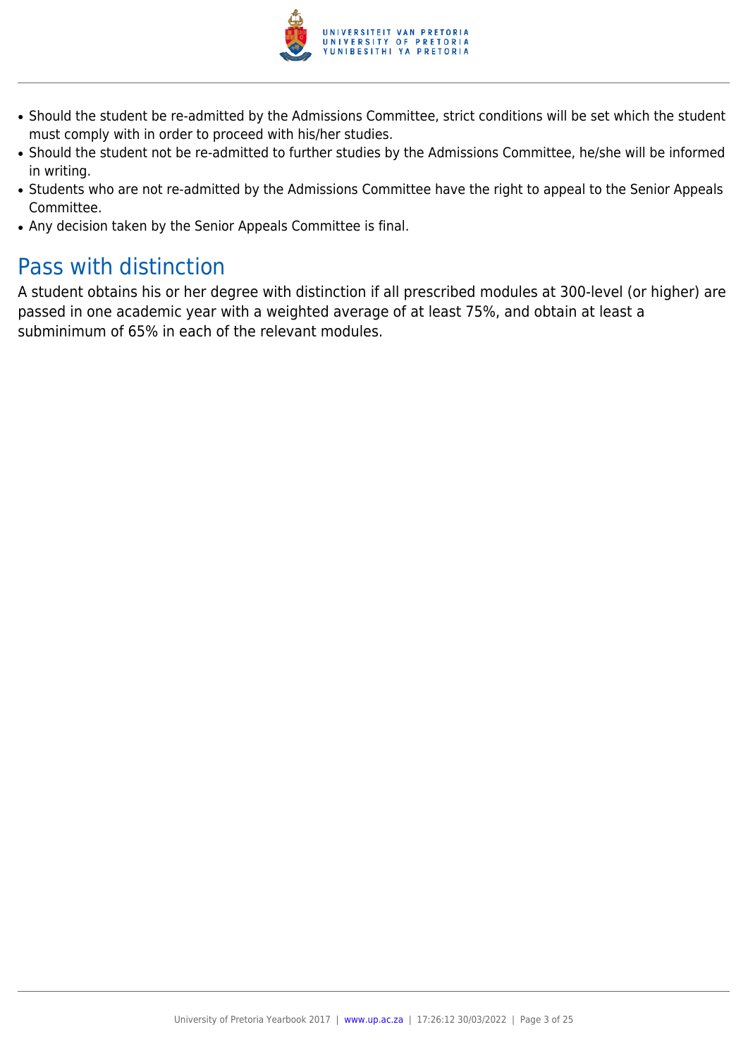

- Should the student be re-admitted by the Admissions Committee, strict conditions will be set which the student must comply with in order to proceed with his/her studies.
- Should the student not be re-admitted to further studies by the Admissions Committee, he/she will be informed in writing.
- Students who are not re-admitted by the Admissions Committee have the right to appeal to the Senior Appeals Committee.
- Any decision taken by the Senior Appeals Committee is final.

# Pass with distinction

A student obtains his or her degree with distinction if all prescribed modules at 300-level (or higher) are passed in one academic year with a weighted average of at least 75%, and obtain at least a subminimum of 65% in each of the relevant modules.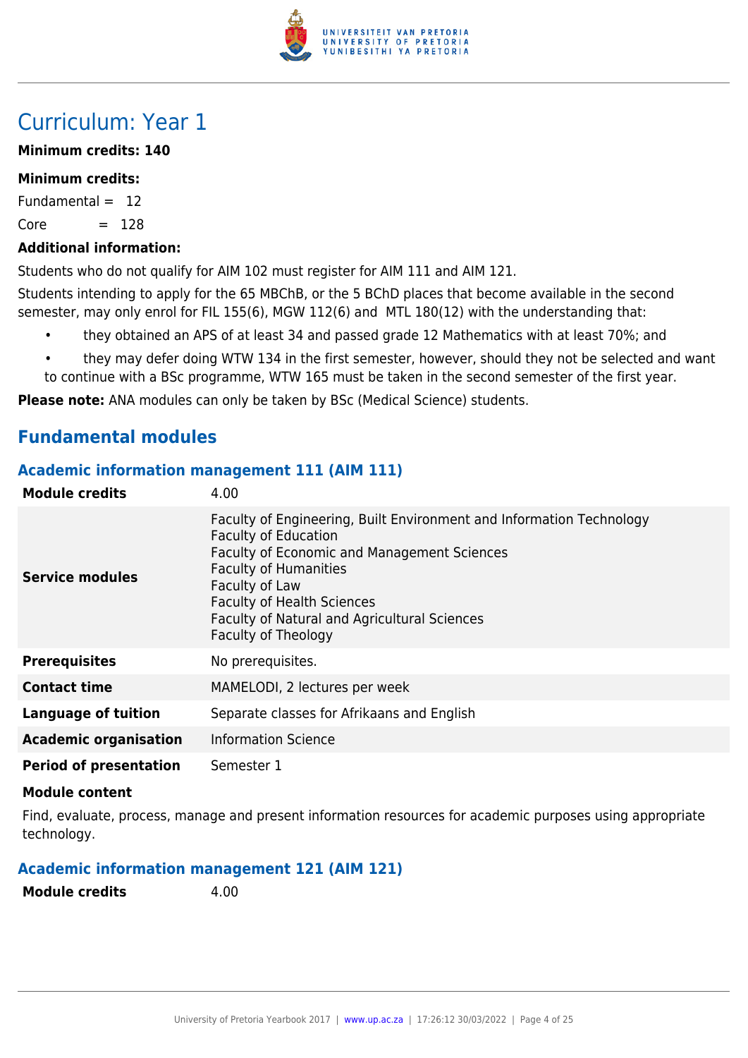

# Curriculum: Year 1

# **Minimum credits: 140**

# **Minimum credits:**

Fundamental  $= 12$ 

 $Core = 128$ 

# **Additional information:**

Students who do not qualify for AIM 102 must register for AIM 111 and AIM 121.

Students intending to apply for the 65 MBChB, or the 5 BChD places that become available in the second semester, may only enrol for FIL 155(6), MGW 112(6) and MTL 180(12) with the understanding that:

- they obtained an APS of at least 34 and passed grade 12 Mathematics with at least 70%; and
- they may defer doing WTW 134 in the first semester, however, should they not be selected and want to continue with a BSc programme, WTW 165 must be taken in the second semester of the first year.

**Please note:** ANA modules can only be taken by BSc (Medical Science) students.

# **Fundamental modules**

# **Academic information management 111 (AIM 111)**

| <b>Module credits</b>         | 4.00                                                                                                                                                                                                                                                                                                                    |
|-------------------------------|-------------------------------------------------------------------------------------------------------------------------------------------------------------------------------------------------------------------------------------------------------------------------------------------------------------------------|
| Service modules               | Faculty of Engineering, Built Environment and Information Technology<br><b>Faculty of Education</b><br><b>Faculty of Economic and Management Sciences</b><br><b>Faculty of Humanities</b><br>Faculty of Law<br><b>Faculty of Health Sciences</b><br>Faculty of Natural and Agricultural Sciences<br>Faculty of Theology |
| <b>Prerequisites</b>          | No prerequisites.                                                                                                                                                                                                                                                                                                       |
| <b>Contact time</b>           | MAMELODI, 2 lectures per week                                                                                                                                                                                                                                                                                           |
| Language of tuition           | Separate classes for Afrikaans and English                                                                                                                                                                                                                                                                              |
| <b>Academic organisation</b>  | <b>Information Science</b>                                                                                                                                                                                                                                                                                              |
| <b>Period of presentation</b> | Semester 1                                                                                                                                                                                                                                                                                                              |

# **Module content**

Find, evaluate, process, manage and present information resources for academic purposes using appropriate technology.

# **Academic information management 121 (AIM 121)**

**Module credits** 4.00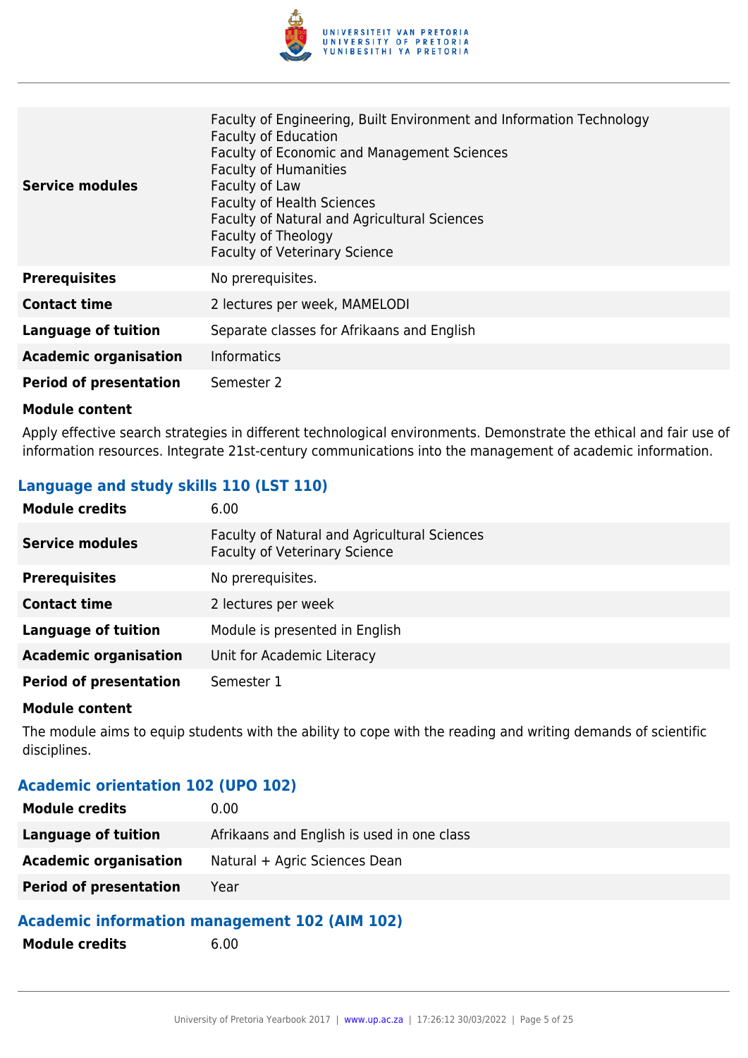

| Service modules               | Faculty of Engineering, Built Environment and Information Technology<br><b>Faculty of Education</b><br>Faculty of Economic and Management Sciences<br><b>Faculty of Humanities</b><br>Faculty of Law<br><b>Faculty of Health Sciences</b><br>Faculty of Natural and Agricultural Sciences<br>Faculty of Theology<br><b>Faculty of Veterinary Science</b> |
|-------------------------------|----------------------------------------------------------------------------------------------------------------------------------------------------------------------------------------------------------------------------------------------------------------------------------------------------------------------------------------------------------|
| <b>Prerequisites</b>          | No prerequisites.                                                                                                                                                                                                                                                                                                                                        |
| <b>Contact time</b>           | 2 lectures per week, MAMELODI                                                                                                                                                                                                                                                                                                                            |
| <b>Language of tuition</b>    | Separate classes for Afrikaans and English                                                                                                                                                                                                                                                                                                               |
| <b>Academic organisation</b>  | <b>Informatics</b>                                                                                                                                                                                                                                                                                                                                       |
| <b>Period of presentation</b> | Semester 2                                                                                                                                                                                                                                                                                                                                               |

Apply effective search strategies in different technological environments. Demonstrate the ethical and fair use of information resources. Integrate 21st-century communications into the management of academic information.

# **Language and study skills 110 (LST 110)**

| <b>Module credits</b>         | 6.00                                                                                 |
|-------------------------------|--------------------------------------------------------------------------------------|
| <b>Service modules</b>        | Faculty of Natural and Agricultural Sciences<br><b>Faculty of Veterinary Science</b> |
| <b>Prerequisites</b>          | No prerequisites.                                                                    |
| <b>Contact time</b>           | 2 lectures per week                                                                  |
| <b>Language of tuition</b>    | Module is presented in English                                                       |
| <b>Academic organisation</b>  | Unit for Academic Literacy                                                           |
| <b>Period of presentation</b> | Semester 1                                                                           |

#### **Module content**

The module aims to equip students with the ability to cope with the reading and writing demands of scientific disciplines.

# **Academic orientation 102 (UPO 102)**

| <b>Module credits</b>         | 0.00                                       |
|-------------------------------|--------------------------------------------|
| Language of tuition           | Afrikaans and English is used in one class |
| <b>Academic organisation</b>  | Natural + Agric Sciences Dean              |
| <b>Period of presentation</b> | Year                                       |

# **Academic information management 102 (AIM 102)**

**Module credits** 6.00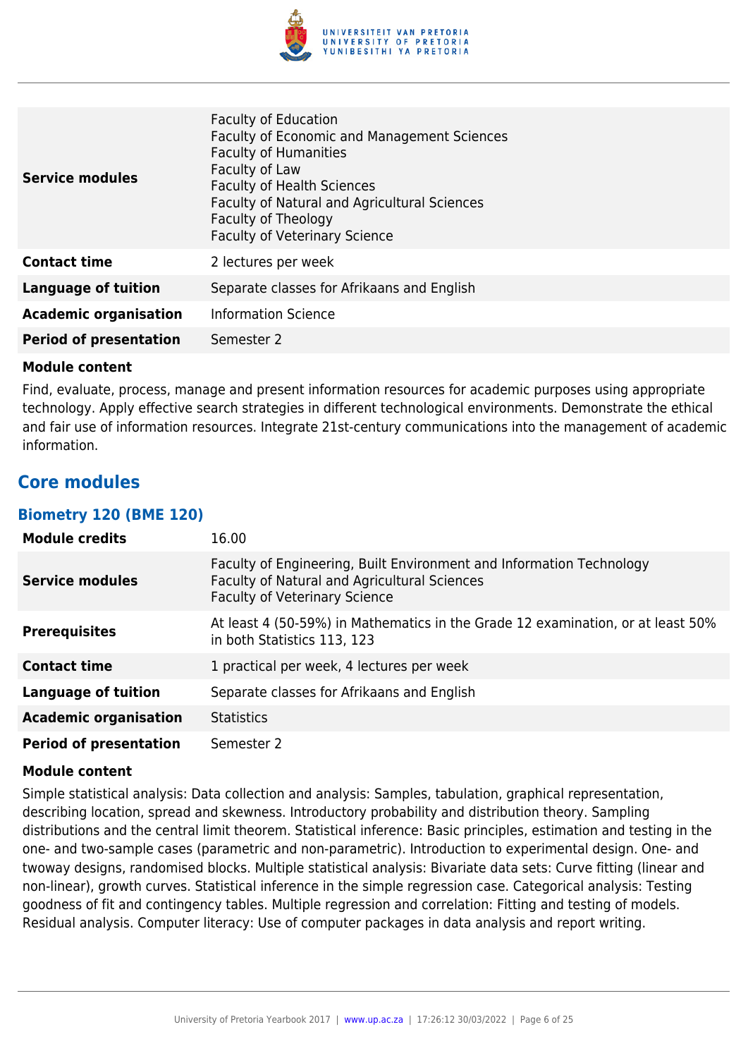

| <b>Service modules</b>        | <b>Faculty of Education</b><br>Faculty of Economic and Management Sciences<br><b>Faculty of Humanities</b><br>Faculty of Law<br><b>Faculty of Health Sciences</b><br>Faculty of Natural and Agricultural Sciences<br>Faculty of Theology<br><b>Faculty of Veterinary Science</b> |
|-------------------------------|----------------------------------------------------------------------------------------------------------------------------------------------------------------------------------------------------------------------------------------------------------------------------------|
| <b>Contact time</b>           | 2 lectures per week                                                                                                                                                                                                                                                              |
| <b>Language of tuition</b>    | Separate classes for Afrikaans and English                                                                                                                                                                                                                                       |
| <b>Academic organisation</b>  | <b>Information Science</b>                                                                                                                                                                                                                                                       |
| <b>Period of presentation</b> | Semester 2                                                                                                                                                                                                                                                                       |

Find, evaluate, process, manage and present information resources for academic purposes using appropriate technology. Apply effective search strategies in different technological environments. Demonstrate the ethical and fair use of information resources. Integrate 21st-century communications into the management of academic information.

# **Core modules**

# **Biometry 120 (BME 120)**

| <b>Module credits</b>         | 16.00                                                                                                                                                        |
|-------------------------------|--------------------------------------------------------------------------------------------------------------------------------------------------------------|
| <b>Service modules</b>        | Faculty of Engineering, Built Environment and Information Technology<br>Faculty of Natural and Agricultural Sciences<br><b>Faculty of Veterinary Science</b> |
| <b>Prerequisites</b>          | At least 4 (50-59%) in Mathematics in the Grade 12 examination, or at least 50%<br>in both Statistics 113, 123                                               |
| <b>Contact time</b>           | 1 practical per week, 4 lectures per week                                                                                                                    |
| <b>Language of tuition</b>    | Separate classes for Afrikaans and English                                                                                                                   |
| <b>Academic organisation</b>  | <b>Statistics</b>                                                                                                                                            |
| <b>Period of presentation</b> | Semester 2                                                                                                                                                   |

#### **Module content**

Simple statistical analysis: Data collection and analysis: Samples, tabulation, graphical representation, describing location, spread and skewness. Introductory probability and distribution theory. Sampling distributions and the central limit theorem. Statistical inference: Basic principles, estimation and testing in the one- and two-sample cases (parametric and non-parametric). Introduction to experimental design. One- and twoway designs, randomised blocks. Multiple statistical analysis: Bivariate data sets: Curve fitting (linear and non-linear), growth curves. Statistical inference in the simple regression case. Categorical analysis: Testing goodness of fit and contingency tables. Multiple regression and correlation: Fitting and testing of models. Residual analysis. Computer literacy: Use of computer packages in data analysis and report writing.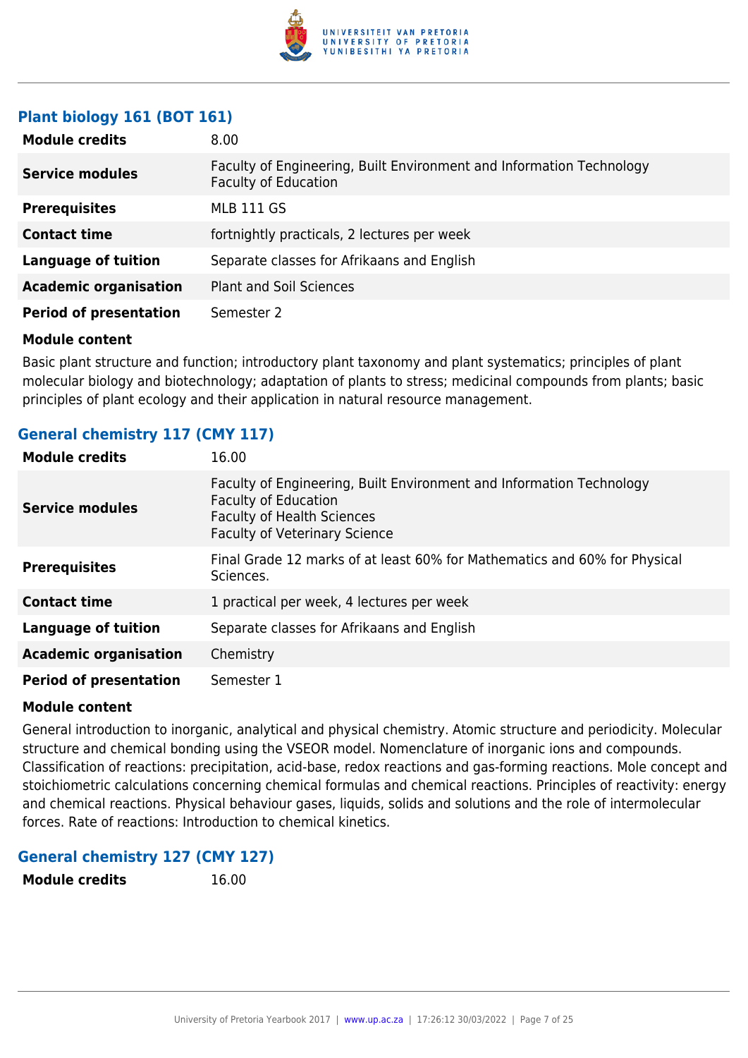

# **Plant biology 161 (BOT 161)**

| <b>Module credits</b>         | 8.00                                                                                                |
|-------------------------------|-----------------------------------------------------------------------------------------------------|
| <b>Service modules</b>        | Faculty of Engineering, Built Environment and Information Technology<br><b>Faculty of Education</b> |
| <b>Prerequisites</b>          | <b>MLB 111 GS</b>                                                                                   |
| <b>Contact time</b>           | fortnightly practicals, 2 lectures per week                                                         |
| <b>Language of tuition</b>    | Separate classes for Afrikaans and English                                                          |
| <b>Academic organisation</b>  | <b>Plant and Soil Sciences</b>                                                                      |
| <b>Period of presentation</b> | Semester 2                                                                                          |

#### **Module content**

Basic plant structure and function; introductory plant taxonomy and plant systematics; principles of plant molecular biology and biotechnology; adaptation of plants to stress; medicinal compounds from plants; basic principles of plant ecology and their application in natural resource management.

# **General chemistry 117 (CMY 117)**

| <b>Module credits</b>         | 16.00                                                                                                                                                                            |
|-------------------------------|----------------------------------------------------------------------------------------------------------------------------------------------------------------------------------|
| <b>Service modules</b>        | Faculty of Engineering, Built Environment and Information Technology<br><b>Faculty of Education</b><br><b>Faculty of Health Sciences</b><br><b>Faculty of Veterinary Science</b> |
| <b>Prerequisites</b>          | Final Grade 12 marks of at least 60% for Mathematics and 60% for Physical<br>Sciences.                                                                                           |
| <b>Contact time</b>           | 1 practical per week, 4 lectures per week                                                                                                                                        |
| <b>Language of tuition</b>    | Separate classes for Afrikaans and English                                                                                                                                       |
| <b>Academic organisation</b>  | Chemistry                                                                                                                                                                        |
| <b>Period of presentation</b> | Semester 1                                                                                                                                                                       |

#### **Module content**

General introduction to inorganic, analytical and physical chemistry. Atomic structure and periodicity. Molecular structure and chemical bonding using the VSEOR model. Nomenclature of inorganic ions and compounds. Classification of reactions: precipitation, acid-base, redox reactions and gas-forming reactions. Mole concept and stoichiometric calculations concerning chemical formulas and chemical reactions. Principles of reactivity: energy and chemical reactions. Physical behaviour gases, liquids, solids and solutions and the role of intermolecular forces. Rate of reactions: Introduction to chemical kinetics.

# **General chemistry 127 (CMY 127)**

**Module credits** 16.00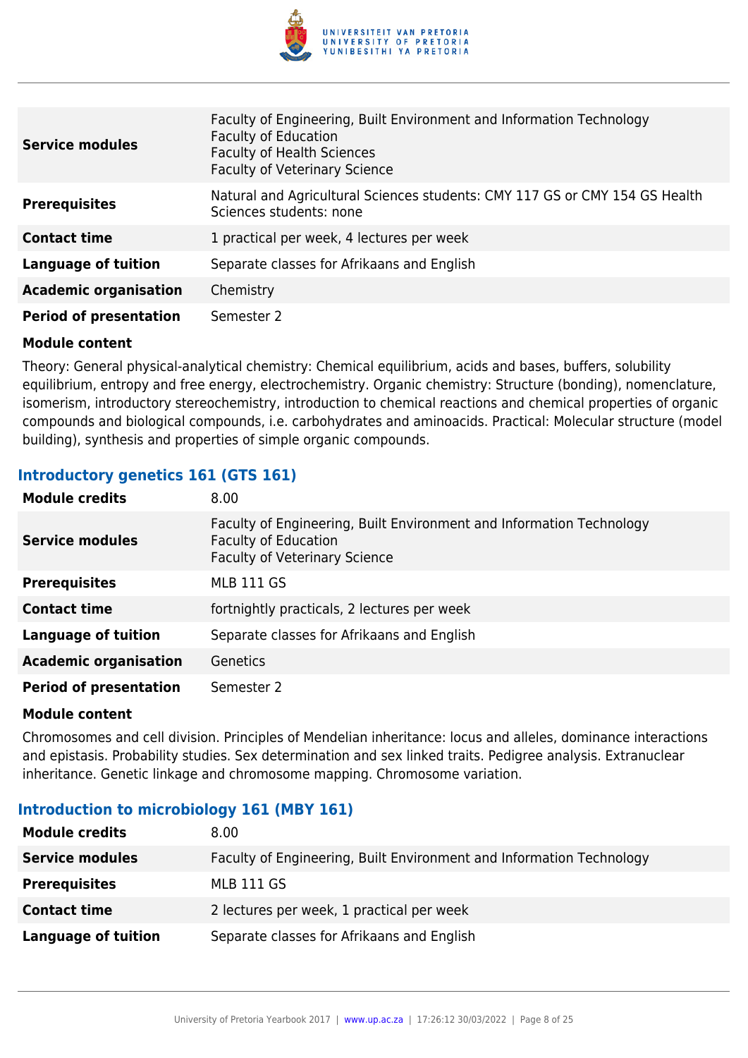

| <b>Service modules</b>        | Faculty of Engineering, Built Environment and Information Technology<br><b>Faculty of Education</b><br><b>Faculty of Health Sciences</b><br><b>Faculty of Veterinary Science</b> |
|-------------------------------|----------------------------------------------------------------------------------------------------------------------------------------------------------------------------------|
| <b>Prerequisites</b>          | Natural and Agricultural Sciences students: CMY 117 GS or CMY 154 GS Health<br>Sciences students: none                                                                           |
| <b>Contact time</b>           | 1 practical per week, 4 lectures per week                                                                                                                                        |
| <b>Language of tuition</b>    | Separate classes for Afrikaans and English                                                                                                                                       |
| <b>Academic organisation</b>  | Chemistry                                                                                                                                                                        |
| <b>Period of presentation</b> | Semester 2                                                                                                                                                                       |

Theory: General physical-analytical chemistry: Chemical equilibrium, acids and bases, buffers, solubility equilibrium, entropy and free energy, electrochemistry. Organic chemistry: Structure (bonding), nomenclature, isomerism, introductory stereochemistry, introduction to chemical reactions and chemical properties of organic compounds and biological compounds, i.e. carbohydrates and aminoacids. Practical: Molecular structure (model building), synthesis and properties of simple organic compounds.

# **Introductory genetics 161 (GTS 161)**

| <b>Module credits</b>         | 8.00                                                                                                                                        |
|-------------------------------|---------------------------------------------------------------------------------------------------------------------------------------------|
| <b>Service modules</b>        | Faculty of Engineering, Built Environment and Information Technology<br><b>Faculty of Education</b><br><b>Faculty of Veterinary Science</b> |
| <b>Prerequisites</b>          | <b>MLB 111 GS</b>                                                                                                                           |
| <b>Contact time</b>           | fortnightly practicals, 2 lectures per week                                                                                                 |
| <b>Language of tuition</b>    | Separate classes for Afrikaans and English                                                                                                  |
| <b>Academic organisation</b>  | Genetics                                                                                                                                    |
| <b>Period of presentation</b> | Semester 2                                                                                                                                  |

#### **Module content**

Chromosomes and cell division. Principles of Mendelian inheritance: locus and alleles, dominance interactions and epistasis. Probability studies. Sex determination and sex linked traits. Pedigree analysis. Extranuclear inheritance. Genetic linkage and chromosome mapping. Chromosome variation.

# **Introduction to microbiology 161 (MBY 161)**

| <b>Module credits</b>  | 8.00                                                                 |
|------------------------|----------------------------------------------------------------------|
| <b>Service modules</b> | Faculty of Engineering, Built Environment and Information Technology |
| <b>Prerequisites</b>   | <b>MLB 111 GS</b>                                                    |
| <b>Contact time</b>    | 2 lectures per week, 1 practical per week                            |
| Language of tuition    | Separate classes for Afrikaans and English                           |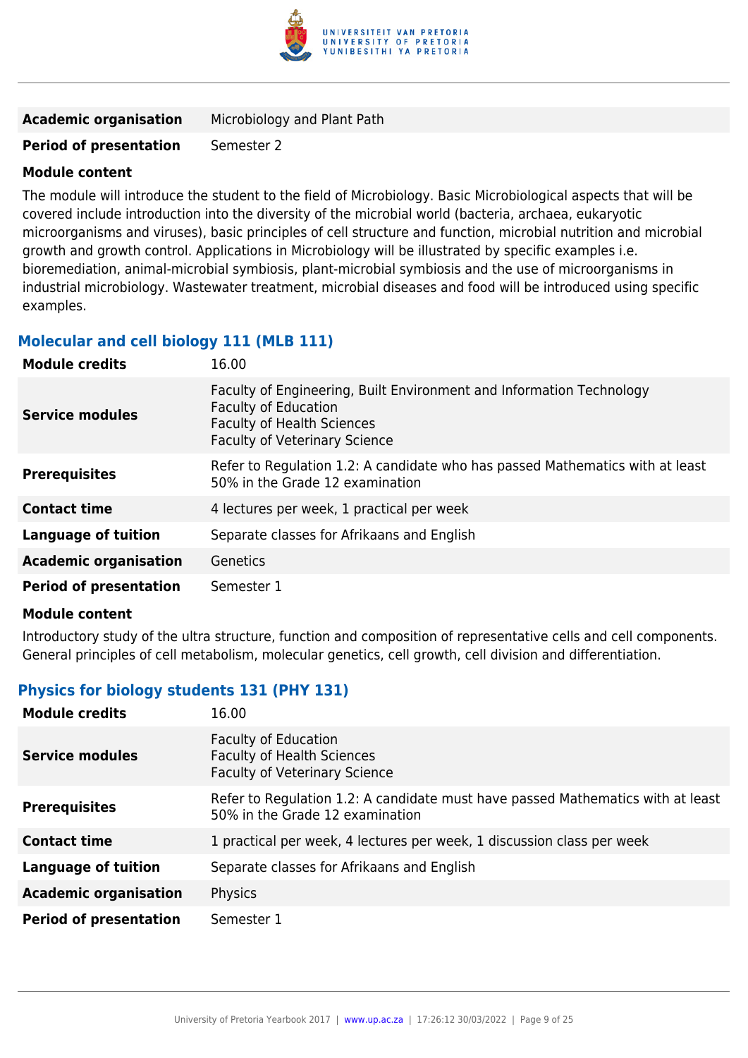

| Microbiology and Plant Path |
|-----------------------------|
|                             |

### **Period of presentation** Semester 2

#### **Module content**

The module will introduce the student to the field of Microbiology. Basic Microbiological aspects that will be covered include introduction into the diversity of the microbial world (bacteria, archaea, eukaryotic microorganisms and viruses), basic principles of cell structure and function, microbial nutrition and microbial growth and growth control. Applications in Microbiology will be illustrated by specific examples i.e. bioremediation, animal-microbial symbiosis, plant-microbial symbiosis and the use of microorganisms in industrial microbiology. Wastewater treatment, microbial diseases and food will be introduced using specific examples.

# **Molecular and cell biology 111 (MLB 111)**

| <b>Module credits</b>         | 16.00                                                                                                                                                                            |
|-------------------------------|----------------------------------------------------------------------------------------------------------------------------------------------------------------------------------|
| <b>Service modules</b>        | Faculty of Engineering, Built Environment and Information Technology<br><b>Faculty of Education</b><br><b>Faculty of Health Sciences</b><br><b>Faculty of Veterinary Science</b> |
| <b>Prerequisites</b>          | Refer to Regulation 1.2: A candidate who has passed Mathematics with at least<br>50% in the Grade 12 examination                                                                 |
| <b>Contact time</b>           | 4 lectures per week, 1 practical per week                                                                                                                                        |
| <b>Language of tuition</b>    | Separate classes for Afrikaans and English                                                                                                                                       |
| <b>Academic organisation</b>  | Genetics                                                                                                                                                                         |
| <b>Period of presentation</b> | Semester 1                                                                                                                                                                       |

#### **Module content**

Introductory study of the ultra structure, function and composition of representative cells and cell components. General principles of cell metabolism, molecular genetics, cell growth, cell division and differentiation.

# **Physics for biology students 131 (PHY 131)**

| <b>Module credits</b>         | 16.00                                                                                                              |
|-------------------------------|--------------------------------------------------------------------------------------------------------------------|
| Service modules               | <b>Faculty of Education</b><br><b>Faculty of Health Sciences</b><br><b>Faculty of Veterinary Science</b>           |
| <b>Prerequisites</b>          | Refer to Regulation 1.2: A candidate must have passed Mathematics with at least<br>50% in the Grade 12 examination |
| <b>Contact time</b>           | 1 practical per week, 4 lectures per week, 1 discussion class per week                                             |
| <b>Language of tuition</b>    | Separate classes for Afrikaans and English                                                                         |
| <b>Academic organisation</b>  | Physics                                                                                                            |
| <b>Period of presentation</b> | Semester 1                                                                                                         |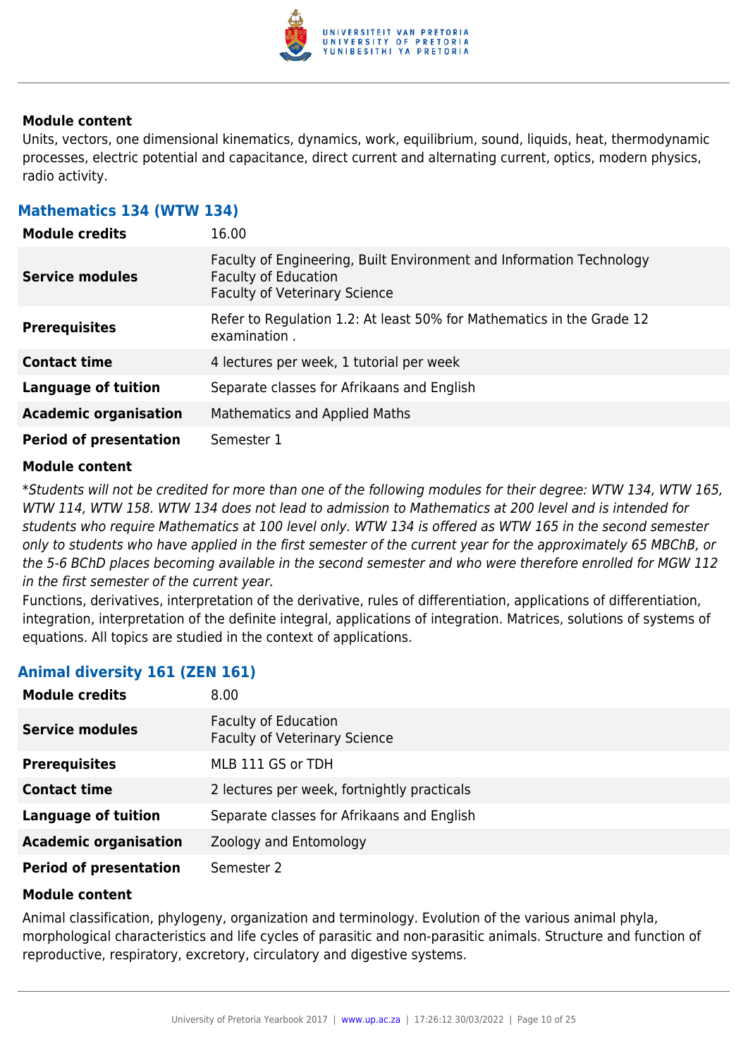

Units, vectors, one dimensional kinematics, dynamics, work, equilibrium, sound, liquids, heat, thermodynamic processes, electric potential and capacitance, direct current and alternating current, optics, modern physics, radio activity.

# **Mathematics 134 (WTW 134)**

| <b>Module credits</b>         | 16.00                                                                                                                                       |
|-------------------------------|---------------------------------------------------------------------------------------------------------------------------------------------|
| <b>Service modules</b>        | Faculty of Engineering, Built Environment and Information Technology<br><b>Faculty of Education</b><br><b>Faculty of Veterinary Science</b> |
| <b>Prerequisites</b>          | Refer to Regulation 1.2: At least 50% for Mathematics in the Grade 12<br>examination.                                                       |
| <b>Contact time</b>           | 4 lectures per week, 1 tutorial per week                                                                                                    |
| Language of tuition           | Separate classes for Afrikaans and English                                                                                                  |
| <b>Academic organisation</b>  | <b>Mathematics and Applied Maths</b>                                                                                                        |
| <b>Period of presentation</b> | Semester 1                                                                                                                                  |

#### **Module content**

\*Students will not be credited for more than one of the following modules for their degree: WTW 134, WTW 165, WTW 114, WTW 158. WTW 134 does not lead to admission to Mathematics at 200 level and is intended for students who require Mathematics at 100 level only. WTW 134 is offered as WTW 165 in the second semester only to students who have applied in the first semester of the current year for the approximately 65 MBChB, or the 5-6 BChD places becoming available in the second semester and who were therefore enrolled for MGW 112 in the first semester of the current year.

Functions, derivatives, interpretation of the derivative, rules of differentiation, applications of differentiation, integration, interpretation of the definite integral, applications of integration. Matrices, solutions of systems of equations. All topics are studied in the context of applications.

# **Animal diversity 161 (ZEN 161)**

| <b>Module credits</b>         | 8.00                                                                |
|-------------------------------|---------------------------------------------------------------------|
| <b>Service modules</b>        | <b>Faculty of Education</b><br><b>Faculty of Veterinary Science</b> |
| <b>Prerequisites</b>          | MLB 111 GS or TDH                                                   |
| <b>Contact time</b>           | 2 lectures per week, fortnightly practicals                         |
| <b>Language of tuition</b>    | Separate classes for Afrikaans and English                          |
| <b>Academic organisation</b>  | Zoology and Entomology                                              |
| <b>Period of presentation</b> | Semester 2                                                          |

#### **Module content**

Animal classification, phylogeny, organization and terminology. Evolution of the various animal phyla, morphological characteristics and life cycles of parasitic and non-parasitic animals. Structure and function of reproductive, respiratory, excretory, circulatory and digestive systems.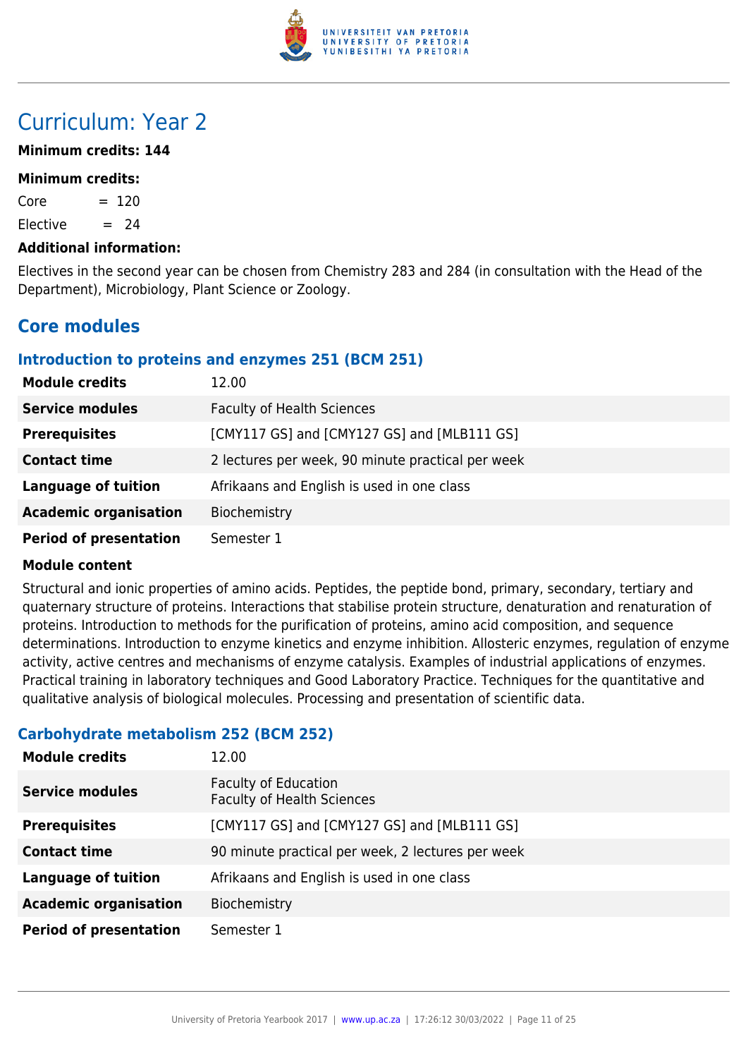

# Curriculum: Year 2

# **Minimum credits: 144**

#### **Minimum credits:**

 $Core = 120$ 

Elective  $= 24$ 

### **Additional information:**

Electives in the second year can be chosen from Chemistry 283 and 284 (in consultation with the Head of the Department), Microbiology, Plant Science or Zoology.

# **Core modules**

# **Introduction to proteins and enzymes 251 (BCM 251)**

| <b>Module credits</b>         | 12.00                                             |
|-------------------------------|---------------------------------------------------|
| <b>Service modules</b>        | <b>Faculty of Health Sciences</b>                 |
| <b>Prerequisites</b>          | [CMY117 GS] and [CMY127 GS] and [MLB111 GS]       |
| <b>Contact time</b>           | 2 lectures per week, 90 minute practical per week |
| <b>Language of tuition</b>    | Afrikaans and English is used in one class        |
| <b>Academic organisation</b>  | Biochemistry                                      |
| <b>Period of presentation</b> | Semester 1                                        |

# **Module content**

Structural and ionic properties of amino acids. Peptides, the peptide bond, primary, secondary, tertiary and quaternary structure of proteins. Interactions that stabilise protein structure, denaturation and renaturation of proteins. Introduction to methods for the purification of proteins, amino acid composition, and sequence determinations. Introduction to enzyme kinetics and enzyme inhibition. Allosteric enzymes, regulation of enzyme activity, active centres and mechanisms of enzyme catalysis. Examples of industrial applications of enzymes. Practical training in laboratory techniques and Good Laboratory Practice. Techniques for the quantitative and qualitative analysis of biological molecules. Processing and presentation of scientific data.

# **Carbohydrate metabolism 252 (BCM 252)**

| <b>Module credits</b>         | 12.00                                                            |
|-------------------------------|------------------------------------------------------------------|
| <b>Service modules</b>        | <b>Faculty of Education</b><br><b>Faculty of Health Sciences</b> |
| <b>Prerequisites</b>          | [CMY117 GS] and [CMY127 GS] and [MLB111 GS]                      |
| <b>Contact time</b>           | 90 minute practical per week, 2 lectures per week                |
| <b>Language of tuition</b>    | Afrikaans and English is used in one class                       |
| <b>Academic organisation</b>  | Biochemistry                                                     |
| <b>Period of presentation</b> | Semester 1                                                       |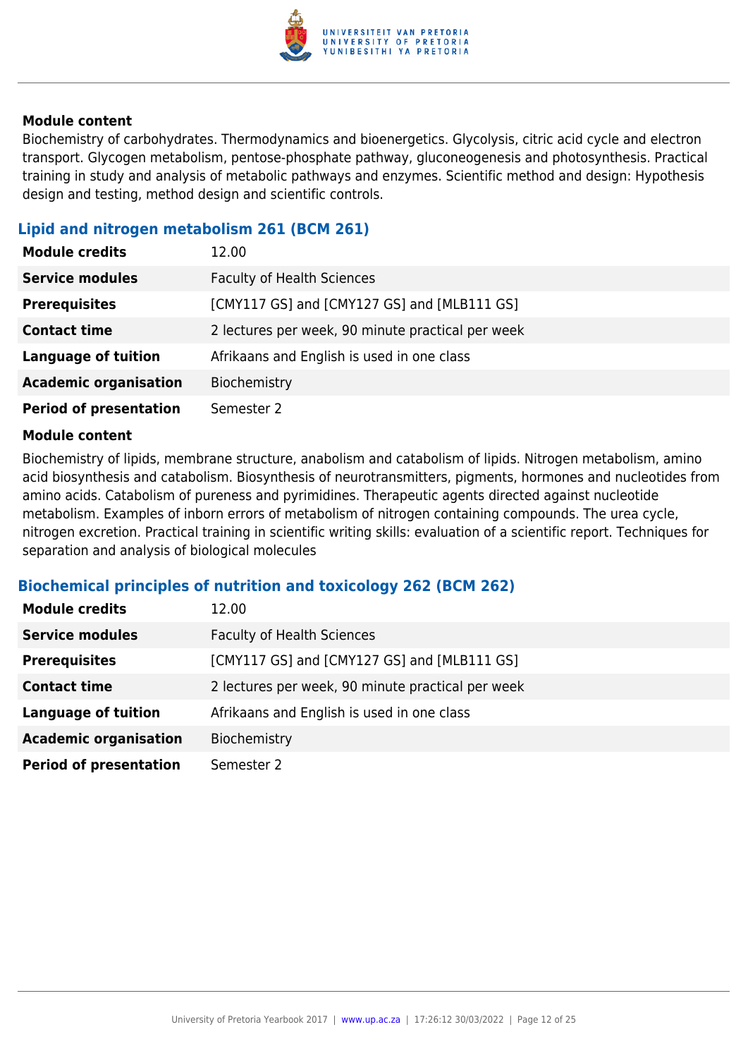

Biochemistry of carbohydrates. Thermodynamics and bioenergetics. Glycolysis, citric acid cycle and electron transport. Glycogen metabolism, pentose-phosphate pathway, gluconeogenesis and photosynthesis. Practical training in study and analysis of metabolic pathways and enzymes. Scientific method and design: Hypothesis design and testing, method design and scientific controls.

# **Lipid and nitrogen metabolism 261 (BCM 261)**

| <b>Module credits</b>         | 12.00                                             |
|-------------------------------|---------------------------------------------------|
| <b>Service modules</b>        | <b>Faculty of Health Sciences</b>                 |
| <b>Prerequisites</b>          | [CMY117 GS] and [CMY127 GS] and [MLB111 GS]       |
| <b>Contact time</b>           | 2 lectures per week, 90 minute practical per week |
| <b>Language of tuition</b>    | Afrikaans and English is used in one class        |
| <b>Academic organisation</b>  | Biochemistry                                      |
| <b>Period of presentation</b> | Semester 2                                        |

#### **Module content**

Biochemistry of lipids, membrane structure, anabolism and catabolism of lipids. Nitrogen metabolism, amino acid biosynthesis and catabolism. Biosynthesis of neurotransmitters, pigments, hormones and nucleotides from amino acids. Catabolism of pureness and pyrimidines. Therapeutic agents directed against nucleotide metabolism. Examples of inborn errors of metabolism of nitrogen containing compounds. The urea cycle, nitrogen excretion. Practical training in scientific writing skills: evaluation of a scientific report. Techniques for separation and analysis of biological molecules

# **Biochemical principles of nutrition and toxicology 262 (BCM 262)**

| <b>Module credits</b>         | 12.00                                             |
|-------------------------------|---------------------------------------------------|
| <b>Service modules</b>        | <b>Faculty of Health Sciences</b>                 |
| <b>Prerequisites</b>          | [CMY117 GS] and [CMY127 GS] and [MLB111 GS]       |
| <b>Contact time</b>           | 2 lectures per week, 90 minute practical per week |
| <b>Language of tuition</b>    | Afrikaans and English is used in one class        |
| <b>Academic organisation</b>  | Biochemistry                                      |
| <b>Period of presentation</b> | Semester 2                                        |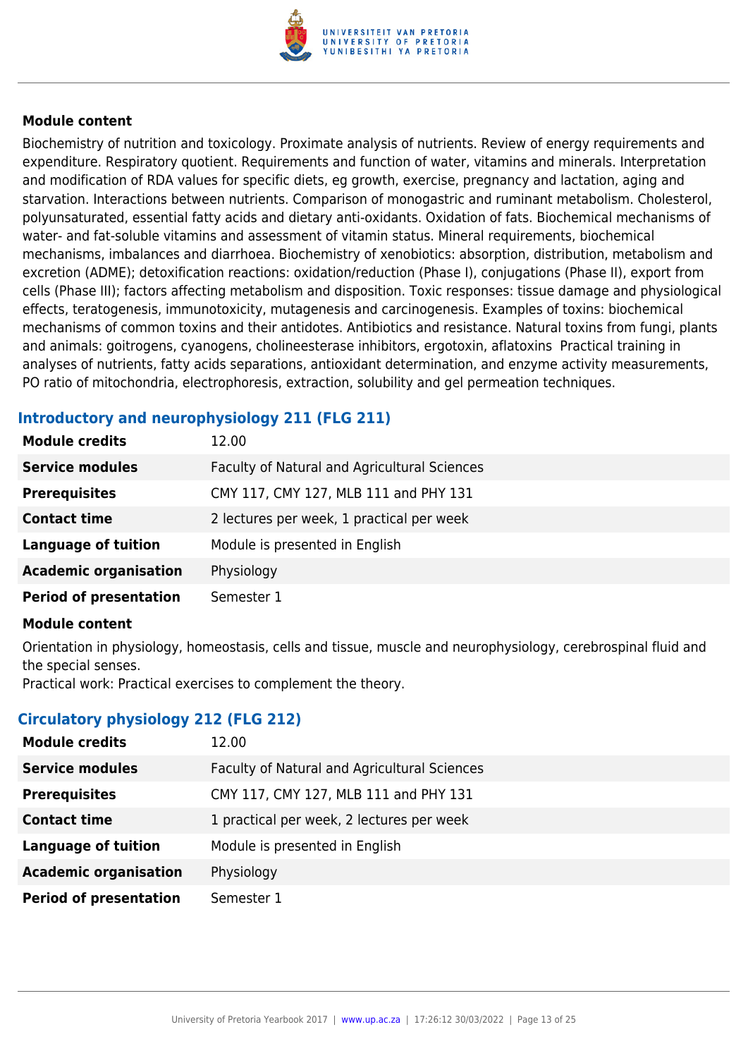

Biochemistry of nutrition and toxicology. Proximate analysis of nutrients. Review of energy requirements and expenditure. Respiratory quotient. Requirements and function of water, vitamins and minerals. Interpretation and modification of RDA values for specific diets, eg growth, exercise, pregnancy and lactation, aging and starvation. Interactions between nutrients. Comparison of monogastric and ruminant metabolism. Cholesterol, polyunsaturated, essential fatty acids and dietary anti-oxidants. Oxidation of fats. Biochemical mechanisms of water- and fat-soluble vitamins and assessment of vitamin status. Mineral requirements, biochemical mechanisms, imbalances and diarrhoea. Biochemistry of xenobiotics: absorption, distribution, metabolism and excretion (ADME); detoxification reactions: oxidation/reduction (Phase I), conjugations (Phase II), export from cells (Phase III); factors affecting metabolism and disposition. Toxic responses: tissue damage and physiological effects, teratogenesis, immunotoxicity, mutagenesis and carcinogenesis. Examples of toxins: biochemical mechanisms of common toxins and their antidotes. Antibiotics and resistance. Natural toxins from fungi, plants and animals: goitrogens, cyanogens, cholineesterase inhibitors, ergotoxin, aflatoxins Practical training in analyses of nutrients, fatty acids separations, antioxidant determination, and enzyme activity measurements, PO ratio of mitochondria, electrophoresis, extraction, solubility and gel permeation techniques.

# **Introductory and neurophysiology 211 (FLG 211)**

| <b>Module credits</b>         | 12.00                                        |
|-------------------------------|----------------------------------------------|
| <b>Service modules</b>        | Faculty of Natural and Agricultural Sciences |
| <b>Prerequisites</b>          | CMY 117, CMY 127, MLB 111 and PHY 131        |
| <b>Contact time</b>           | 2 lectures per week, 1 practical per week    |
| <b>Language of tuition</b>    | Module is presented in English               |
| <b>Academic organisation</b>  | Physiology                                   |
| <b>Period of presentation</b> | Semester 1                                   |

#### **Module content**

Orientation in physiology, homeostasis, cells and tissue, muscle and neurophysiology, cerebrospinal fluid and the special senses.

Practical work: Practical exercises to complement the theory.

# **Circulatory physiology 212 (FLG 212)**

| 12.00                                        |
|----------------------------------------------|
| Faculty of Natural and Agricultural Sciences |
| CMY 117, CMY 127, MLB 111 and PHY 131        |
| 1 practical per week, 2 lectures per week    |
| Module is presented in English               |
| Physiology                                   |
| Semester 1                                   |
|                                              |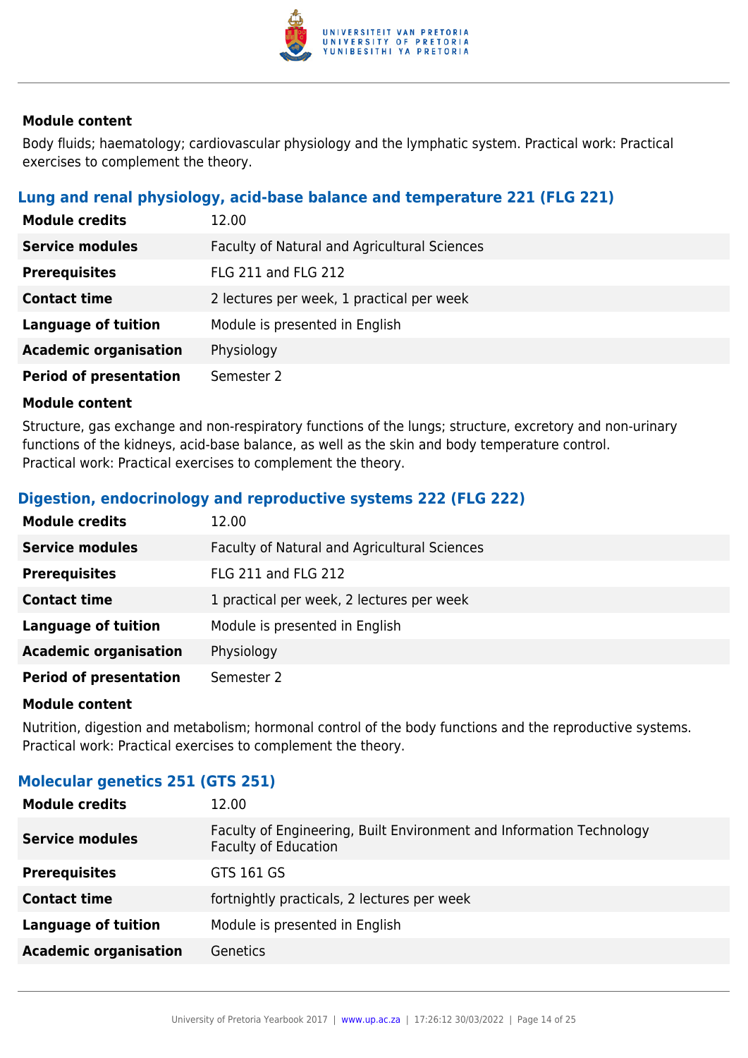

Body fluids; haematology; cardiovascular physiology and the lymphatic system. Practical work: Practical exercises to complement the theory.

# **Lung and renal physiology, acid-base balance and temperature 221 (FLG 221)**

| <b>Module credits</b>         | 12.00                                        |
|-------------------------------|----------------------------------------------|
| <b>Service modules</b>        | Faculty of Natural and Agricultural Sciences |
| <b>Prerequisites</b>          | <b>FLG 211 and FLG 212</b>                   |
| <b>Contact time</b>           | 2 lectures per week, 1 practical per week    |
| <b>Language of tuition</b>    | Module is presented in English               |
| <b>Academic organisation</b>  | Physiology                                   |
| <b>Period of presentation</b> | Semester 2                                   |

# **Module content**

Structure, gas exchange and non-respiratory functions of the lungs; structure, excretory and non-urinary functions of the kidneys, acid-base balance, as well as the skin and body temperature control. Practical work: Practical exercises to complement the theory.

# **Digestion, endocrinology and reproductive systems 222 (FLG 222)**

| <b>Module credits</b>         | 12.00                                        |
|-------------------------------|----------------------------------------------|
| <b>Service modules</b>        | Faculty of Natural and Agricultural Sciences |
| <b>Prerequisites</b>          | <b>FLG 211 and FLG 212</b>                   |
| <b>Contact time</b>           | 1 practical per week, 2 lectures per week    |
| <b>Language of tuition</b>    | Module is presented in English               |
| <b>Academic organisation</b>  | Physiology                                   |
| <b>Period of presentation</b> | Semester 2                                   |

#### **Module content**

Nutrition, digestion and metabolism; hormonal control of the body functions and the reproductive systems. Practical work: Practical exercises to complement the theory.

# **Molecular genetics 251 (GTS 251)**

| <b>Module credits</b>        | 12.00                                                                                               |
|------------------------------|-----------------------------------------------------------------------------------------------------|
| <b>Service modules</b>       | Faculty of Engineering, Built Environment and Information Technology<br><b>Faculty of Education</b> |
| <b>Prerequisites</b>         | GTS 161 GS                                                                                          |
| <b>Contact time</b>          | fortnightly practicals, 2 lectures per week                                                         |
| <b>Language of tuition</b>   | Module is presented in English                                                                      |
| <b>Academic organisation</b> | Genetics                                                                                            |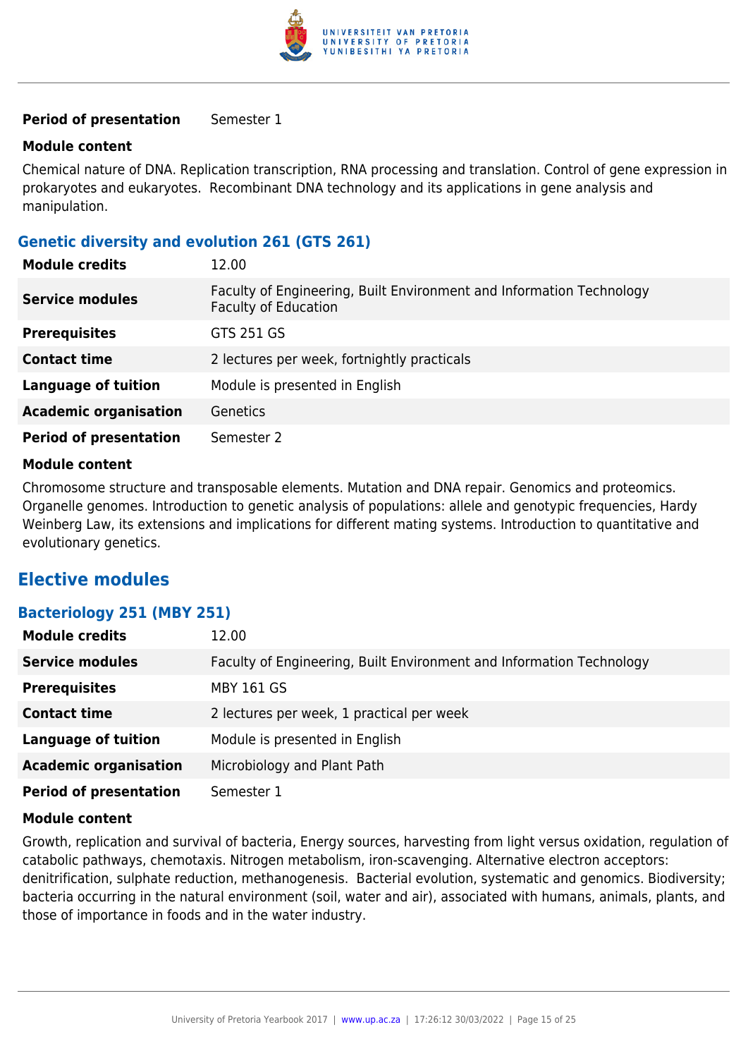

#### **Period of presentation** Semester 1

#### **Module content**

Chemical nature of DNA. Replication transcription, RNA processing and translation. Control of gene expression in prokaryotes and eukaryotes. Recombinant DNA technology and its applications in gene analysis and manipulation.

# **Genetic diversity and evolution 261 (GTS 261)**

| <b>Module credits</b>         | 12.00                                                                                               |
|-------------------------------|-----------------------------------------------------------------------------------------------------|
| <b>Service modules</b>        | Faculty of Engineering, Built Environment and Information Technology<br><b>Faculty of Education</b> |
| <b>Prerequisites</b>          | GTS 251 GS                                                                                          |
| <b>Contact time</b>           | 2 lectures per week, fortnightly practicals                                                         |
| <b>Language of tuition</b>    | Module is presented in English                                                                      |
| <b>Academic organisation</b>  | <b>Genetics</b>                                                                                     |
| <b>Period of presentation</b> | Semester 2                                                                                          |

#### **Module content**

Chromosome structure and transposable elements. Mutation and DNA repair. Genomics and proteomics. Organelle genomes. Introduction to genetic analysis of populations: allele and genotypic frequencies, Hardy Weinberg Law, its extensions and implications for different mating systems. Introduction to quantitative and evolutionary genetics.

# **Elective modules**

# **Bacteriology 251 (MBY 251)**

| <b>Module credits</b>         | 12.00                                                                |
|-------------------------------|----------------------------------------------------------------------|
| <b>Service modules</b>        | Faculty of Engineering, Built Environment and Information Technology |
| <b>Prerequisites</b>          | <b>MBY 161 GS</b>                                                    |
| <b>Contact time</b>           | 2 lectures per week, 1 practical per week                            |
| <b>Language of tuition</b>    | Module is presented in English                                       |
| <b>Academic organisation</b>  | Microbiology and Plant Path                                          |
| <b>Period of presentation</b> | Semester 1                                                           |

#### **Module content**

Growth, replication and survival of bacteria, Energy sources, harvesting from light versus oxidation, regulation of catabolic pathways, chemotaxis. Nitrogen metabolism, iron-scavenging. Alternative electron acceptors: denitrification, sulphate reduction, methanogenesis. Bacterial evolution, systematic and genomics. Biodiversity; bacteria occurring in the natural environment (soil, water and air), associated with humans, animals, plants, and those of importance in foods and in the water industry.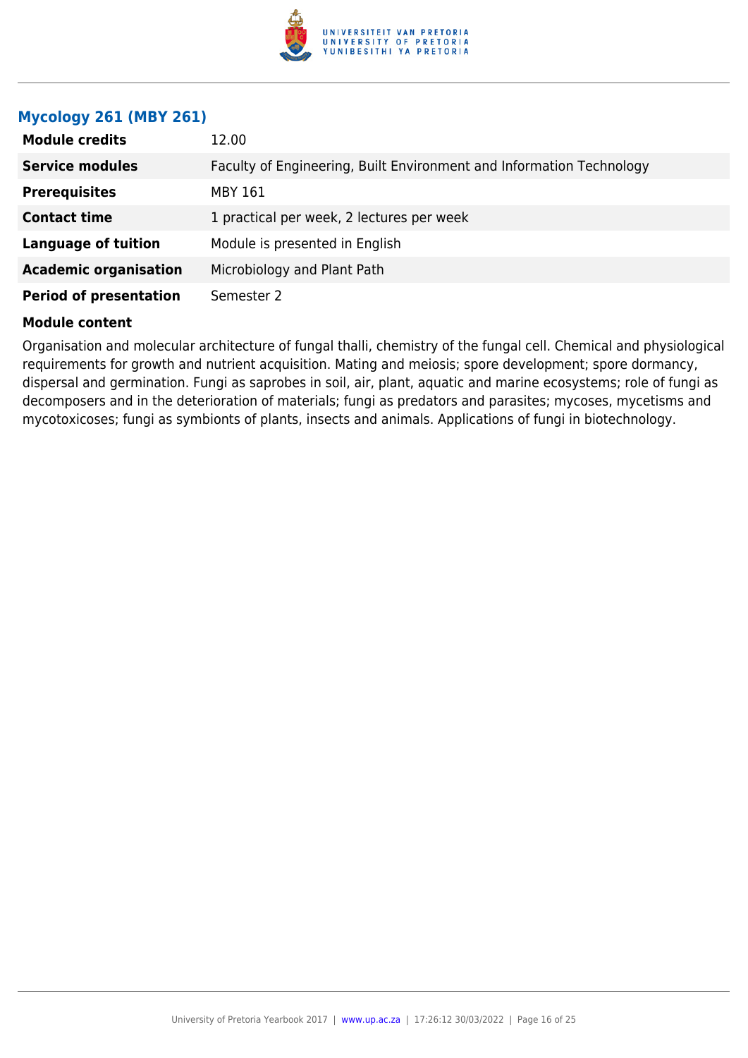

# **Mycology 261 (MBY 261)**

| <b>Module credits</b>         | 12.00                                                                |
|-------------------------------|----------------------------------------------------------------------|
| <b>Service modules</b>        | Faculty of Engineering, Built Environment and Information Technology |
| <b>Prerequisites</b>          | MBY 161                                                              |
| <b>Contact time</b>           | 1 practical per week, 2 lectures per week                            |
| <b>Language of tuition</b>    | Module is presented in English                                       |
| <b>Academic organisation</b>  | Microbiology and Plant Path                                          |
| <b>Period of presentation</b> | Semester 2                                                           |

#### **Module content**

Organisation and molecular architecture of fungal thalli, chemistry of the fungal cell. Chemical and physiological requirements for growth and nutrient acquisition. Mating and meiosis; spore development; spore dormancy, dispersal and germination. Fungi as saprobes in soil, air, plant, aquatic and marine ecosystems; role of fungi as decomposers and in the deterioration of materials; fungi as predators and parasites; mycoses, mycetisms and mycotoxicoses; fungi as symbionts of plants, insects and animals. Applications of fungi in biotechnology.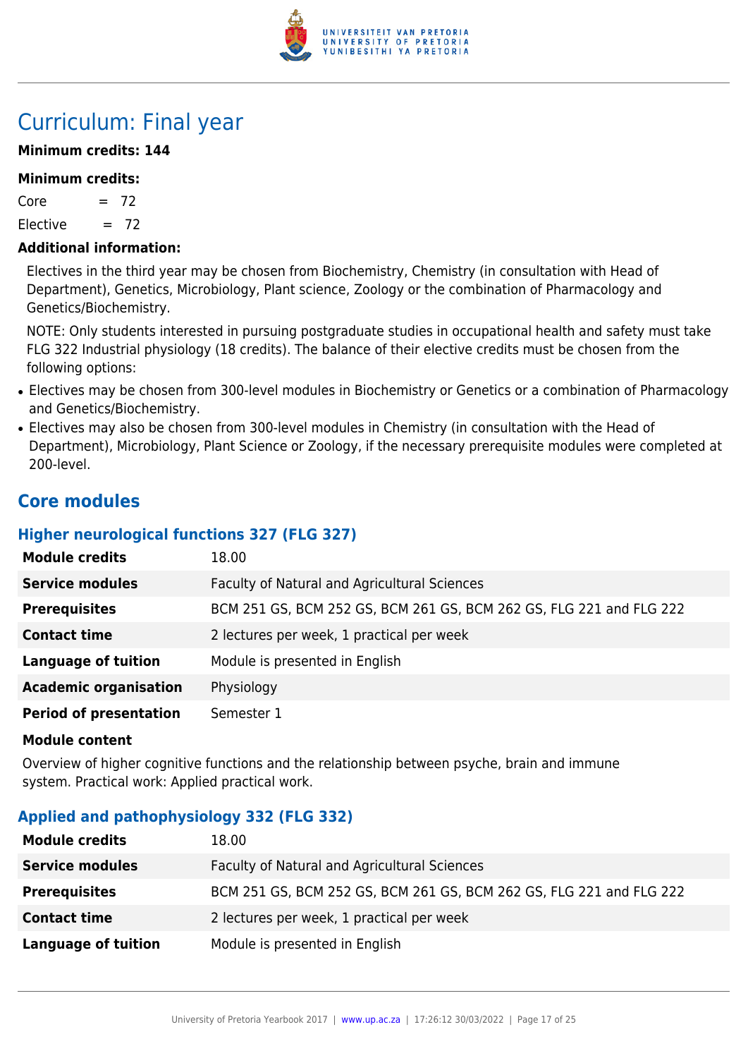

# Curriculum: Final year

# **Minimum credits: 144**

### **Minimum credits:**

 $Core = 72$ 

Elective  $= 72$ 

### **Additional information:**

Electives in the third year may be chosen from Biochemistry, Chemistry (in consultation with Head of Department), Genetics, Microbiology, Plant science, Zoology or the combination of Pharmacology and Genetics/Biochemistry.

NOTE: Only students interested in pursuing postgraduate studies in occupational health and safety must take FLG 322 Industrial physiology (18 credits). The balance of their elective credits must be chosen from the following options:

- Electives may be chosen from 300-level modules in Biochemistry or Genetics or a combination of Pharmacology and Genetics/Biochemistry.
- Electives may also be chosen from 300-level modules in Chemistry (in consultation with the Head of Department), Microbiology, Plant Science or Zoology, if the necessary prerequisite modules were completed at 200-level.

# **Core modules**

# **Higher neurological functions 327 (FLG 327)**

| <b>Module credits</b>         | 18.00                                                               |
|-------------------------------|---------------------------------------------------------------------|
| <b>Service modules</b>        | Faculty of Natural and Agricultural Sciences                        |
| <b>Prerequisites</b>          | BCM 251 GS, BCM 252 GS, BCM 261 GS, BCM 262 GS, FLG 221 and FLG 222 |
| <b>Contact time</b>           | 2 lectures per week, 1 practical per week                           |
| <b>Language of tuition</b>    | Module is presented in English                                      |
| <b>Academic organisation</b>  | Physiology                                                          |
| <b>Period of presentation</b> | Semester 1                                                          |

#### **Module content**

Overview of higher cognitive functions and the relationship between psyche, brain and immune system. Practical work: Applied practical work.

# **Applied and pathophysiology 332 (FLG 332)**

| <b>Module credits</b>  | 18.00                                                               |
|------------------------|---------------------------------------------------------------------|
| <b>Service modules</b> | Faculty of Natural and Agricultural Sciences                        |
| <b>Prerequisites</b>   | BCM 251 GS, BCM 252 GS, BCM 261 GS, BCM 262 GS, FLG 221 and FLG 222 |
| <b>Contact time</b>    | 2 lectures per week, 1 practical per week                           |
| Language of tuition    | Module is presented in English                                      |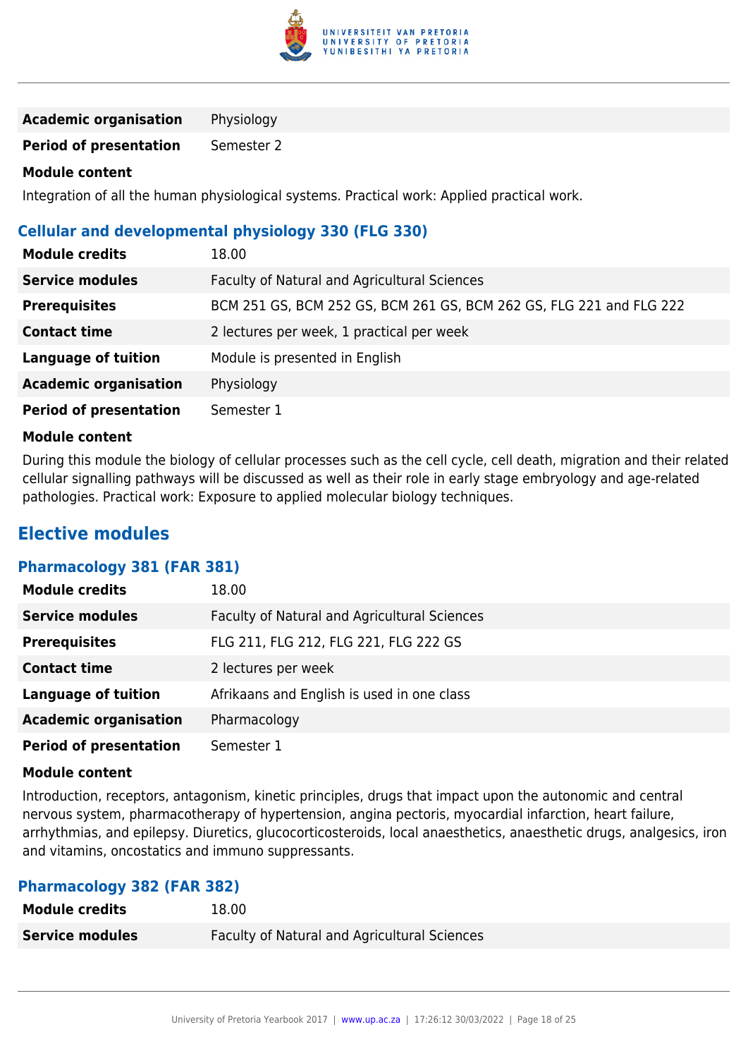

**Academic organisation** Physiology

**Period of presentation** Semester 2

# **Module content**

Integration of all the human physiological systems. Practical work: Applied practical work.

# **Cellular and developmental physiology 330 (FLG 330)**

| <b>Module credits</b>         | 18.00                                                               |
|-------------------------------|---------------------------------------------------------------------|
| <b>Service modules</b>        | Faculty of Natural and Agricultural Sciences                        |
| <b>Prerequisites</b>          | BCM 251 GS, BCM 252 GS, BCM 261 GS, BCM 262 GS, FLG 221 and FLG 222 |
| <b>Contact time</b>           | 2 lectures per week, 1 practical per week                           |
| <b>Language of tuition</b>    | Module is presented in English                                      |
| <b>Academic organisation</b>  | Physiology                                                          |
| <b>Period of presentation</b> | Semester 1                                                          |

# **Module content**

During this module the biology of cellular processes such as the cell cycle, cell death, migration and their related cellular signalling pathways will be discussed as well as their role in early stage embryology and age-related pathologies. Practical work: Exposure to applied molecular biology techniques.

# **Elective modules**

# **Pharmacology 381 (FAR 381)**

| <b>Module credits</b>         | 18.00                                        |
|-------------------------------|----------------------------------------------|
| <b>Service modules</b>        | Faculty of Natural and Agricultural Sciences |
| <b>Prerequisites</b>          | FLG 211, FLG 212, FLG 221, FLG 222 GS        |
| <b>Contact time</b>           | 2 lectures per week                          |
| <b>Language of tuition</b>    | Afrikaans and English is used in one class   |
| <b>Academic organisation</b>  | Pharmacology                                 |
| <b>Period of presentation</b> | Semester 1                                   |

# **Module content**

Introduction, receptors, antagonism, kinetic principles, drugs that impact upon the autonomic and central nervous system, pharmacotherapy of hypertension, angina pectoris, myocardial infarction, heart failure, arrhythmias, and epilepsy. Diuretics, glucocorticosteroids, local anaesthetics, anaesthetic drugs, analgesics, iron and vitamins, oncostatics and immuno suppressants.

# **Pharmacology 382 (FAR 382)**

| <b>Module credits</b>  | 18.00                                               |
|------------------------|-----------------------------------------------------|
| <b>Service modules</b> | <b>Faculty of Natural and Agricultural Sciences</b> |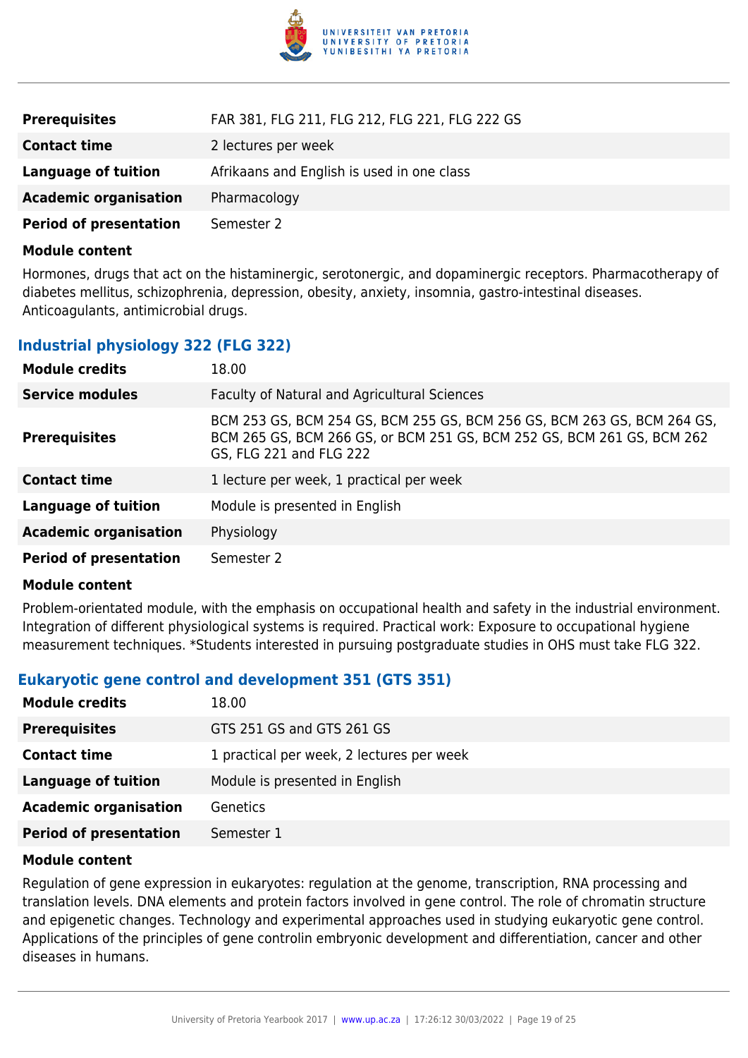

| <b>Prerequisites</b>          | FAR 381, FLG 211, FLG 212, FLG 221, FLG 222 GS |
|-------------------------------|------------------------------------------------|
| <b>Contact time</b>           | 2 lectures per week                            |
| <b>Language of tuition</b>    | Afrikaans and English is used in one class     |
| <b>Academic organisation</b>  | Pharmacology                                   |
| <b>Period of presentation</b> | Semester 2                                     |

Hormones, drugs that act on the histaminergic, serotonergic, and dopaminergic receptors. Pharmacotherapy of diabetes mellitus, schizophrenia, depression, obesity, anxiety, insomnia, gastro-intestinal diseases. Anticoagulants, antimicrobial drugs.

# **Industrial physiology 322 (FLG 322)**

| <b>Module credits</b>         | 18.00                                                                                                                                                                        |
|-------------------------------|------------------------------------------------------------------------------------------------------------------------------------------------------------------------------|
| <b>Service modules</b>        | Faculty of Natural and Agricultural Sciences                                                                                                                                 |
| <b>Prerequisites</b>          | BCM 253 GS, BCM 254 GS, BCM 255 GS, BCM 256 GS, BCM 263 GS, BCM 264 GS,<br>BCM 265 GS, BCM 266 GS, or BCM 251 GS, BCM 252 GS, BCM 261 GS, BCM 262<br>GS, FLG 221 and FLG 222 |
| <b>Contact time</b>           | 1 lecture per week, 1 practical per week                                                                                                                                     |
| Language of tuition           | Module is presented in English                                                                                                                                               |
| <b>Academic organisation</b>  | Physiology                                                                                                                                                                   |
| <b>Period of presentation</b> | Semester 2                                                                                                                                                                   |

#### **Module content**

Problem-orientated module, with the emphasis on occupational health and safety in the industrial environment. Integration of different physiological systems is required. Practical work: Exposure to occupational hygiene measurement techniques. \*Students interested in pursuing postgraduate studies in OHS must take FLG 322.

# **Eukaryotic gene control and development 351 (GTS 351)**

| <b>Module credits</b><br>18.00                  |                                           |
|-------------------------------------------------|-------------------------------------------|
| <b>Prerequisites</b>                            | GTS 251 GS and GTS 261 GS                 |
| <b>Contact time</b>                             | 1 practical per week, 2 lectures per week |
| Language of tuition                             | Module is presented in English            |
| <b>Academic organisation</b><br><b>Genetics</b> |                                           |
| <b>Period of presentation</b><br>Semester 1     |                                           |

#### **Module content**

Regulation of gene expression in eukaryotes: regulation at the genome, transcription, RNA processing and translation levels. DNA elements and protein factors involved in gene control. The role of chromatin structure and epigenetic changes. Technology and experimental approaches used in studying eukaryotic gene control. Applications of the principles of gene controlin embryonic development and differentiation, cancer and other diseases in humans.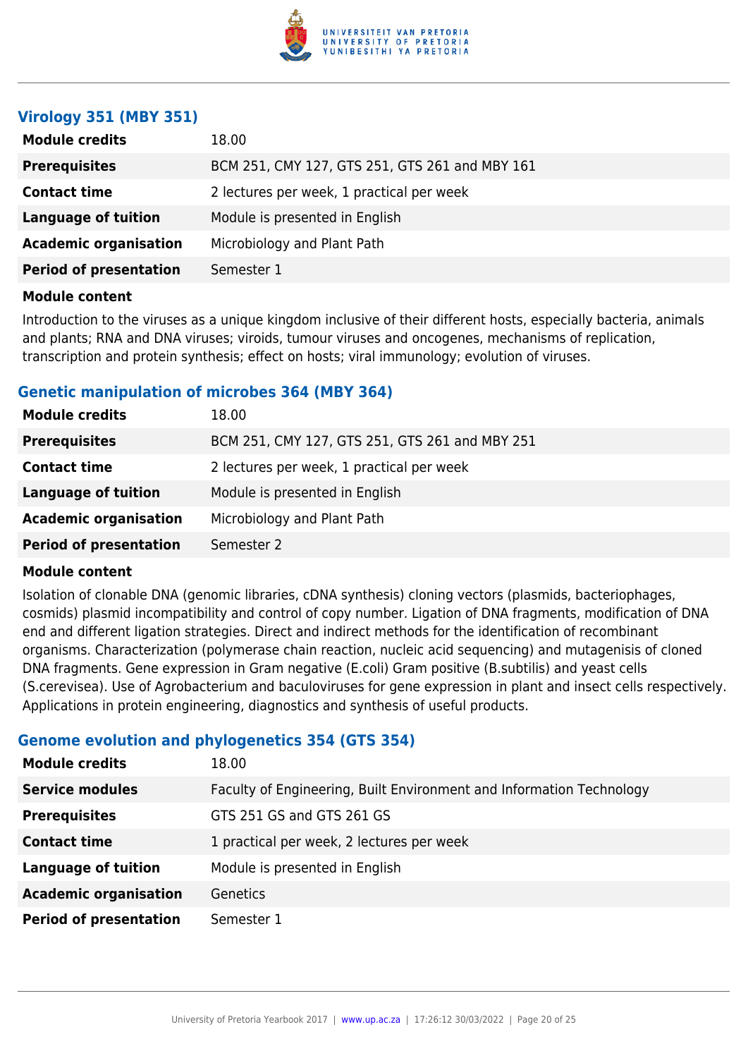

# **Virology 351 (MBY 351)**

| <b>Module credits</b>         | 18.00                                          |
|-------------------------------|------------------------------------------------|
| <b>Prerequisites</b>          | BCM 251, CMY 127, GTS 251, GTS 261 and MBY 161 |
| <b>Contact time</b>           | 2 lectures per week, 1 practical per week      |
| <b>Language of tuition</b>    | Module is presented in English                 |
| <b>Academic organisation</b>  | Microbiology and Plant Path                    |
| <b>Period of presentation</b> | Semester 1                                     |
|                               |                                                |

#### **Module content**

Introduction to the viruses as a unique kingdom inclusive of their different hosts, especially bacteria, animals and plants; RNA and DNA viruses; viroids, tumour viruses and oncogenes, mechanisms of replication, transcription and protein synthesis; effect on hosts; viral immunology; evolution of viruses.

# **Genetic manipulation of microbes 364 (MBY 364)**

| <b>Module credits</b>         | 18.00                                          |
|-------------------------------|------------------------------------------------|
| <b>Prerequisites</b>          | BCM 251, CMY 127, GTS 251, GTS 261 and MBY 251 |
| <b>Contact time</b>           | 2 lectures per week, 1 practical per week      |
| Language of tuition           | Module is presented in English                 |
| <b>Academic organisation</b>  | Microbiology and Plant Path                    |
| <b>Period of presentation</b> | Semester 2                                     |

#### **Module content**

Isolation of clonable DNA (genomic libraries, cDNA synthesis) cloning vectors (plasmids, bacteriophages, cosmids) plasmid incompatibility and control of copy number. Ligation of DNA fragments, modification of DNA end and different ligation strategies. Direct and indirect methods for the identification of recombinant organisms. Characterization (polymerase chain reaction, nucleic acid sequencing) and mutagenisis of cloned DNA fragments. Gene expression in Gram negative (E.coli) Gram positive (B.subtilis) and yeast cells (S.cerevisea). Use of Agrobacterium and baculoviruses for gene expression in plant and insect cells respectively. Applications in protein engineering, diagnostics and synthesis of useful products.

# **Genome evolution and phylogenetics 354 (GTS 354)**

| <b>Module credits</b>         | 18.00                                                                |
|-------------------------------|----------------------------------------------------------------------|
| <b>Service modules</b>        | Faculty of Engineering, Built Environment and Information Technology |
| <b>Prerequisites</b>          | GTS 251 GS and GTS 261 GS                                            |
| <b>Contact time</b>           | 1 practical per week, 2 lectures per week                            |
| <b>Language of tuition</b>    | Module is presented in English                                       |
| <b>Academic organisation</b>  | Genetics                                                             |
| <b>Period of presentation</b> | Semester 1                                                           |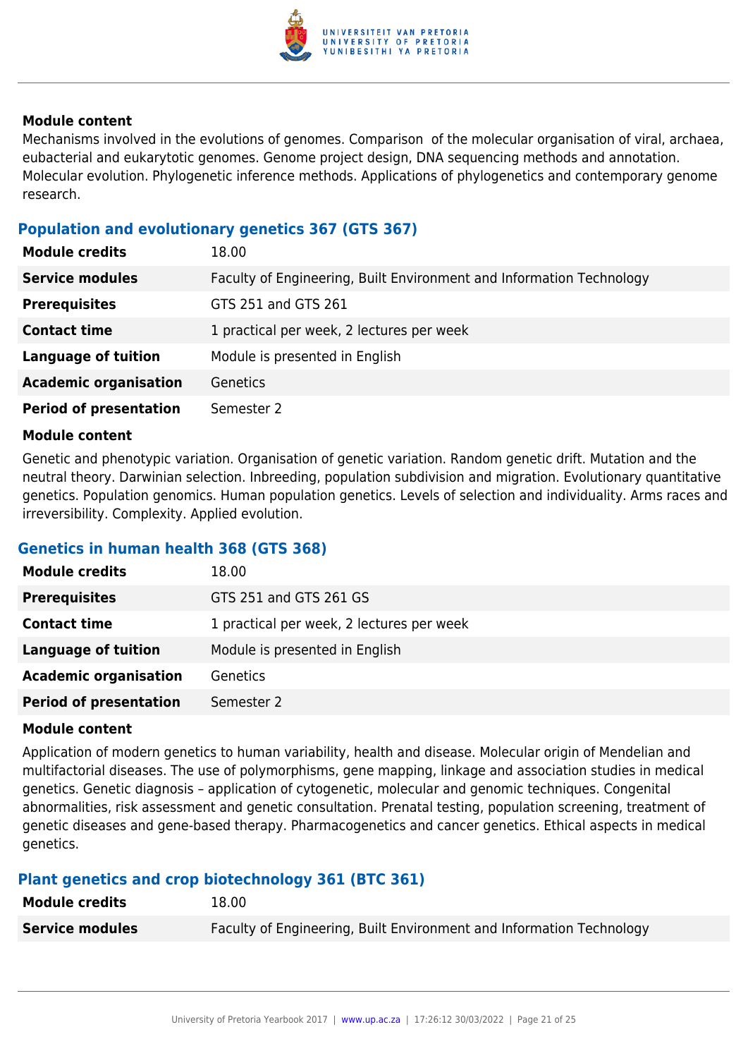

Mechanisms involved in the evolutions of genomes. Comparison of the molecular organisation of viral, archaea, eubacterial and eukarytotic genomes. Genome project design, DNA sequencing methods and annotation. Molecular evolution. Phylogenetic inference methods. Applications of phylogenetics and contemporary genome research.

# **Population and evolutionary genetics 367 (GTS 367)**

| <b>Module credits</b>         | 18.00                                                                |
|-------------------------------|----------------------------------------------------------------------|
| <b>Service modules</b>        | Faculty of Engineering, Built Environment and Information Technology |
| <b>Prerequisites</b>          | GTS 251 and GTS 261                                                  |
| <b>Contact time</b>           | 1 practical per week, 2 lectures per week                            |
| <b>Language of tuition</b>    | Module is presented in English                                       |
| <b>Academic organisation</b>  | <b>Genetics</b>                                                      |
| <b>Period of presentation</b> | Semester 2                                                           |

#### **Module content**

Genetic and phenotypic variation. Organisation of genetic variation. Random genetic drift. Mutation and the neutral theory. Darwinian selection. Inbreeding, population subdivision and migration. Evolutionary quantitative genetics. Population genomics. Human population genetics. Levels of selection and individuality. Arms races and irreversibility. Complexity. Applied evolution.

# **Genetics in human health 368 (GTS 368)**

| <b>Module credits</b>         | 18.00                                     |
|-------------------------------|-------------------------------------------|
| <b>Prerequisites</b>          | GTS 251 and GTS 261 GS                    |
| <b>Contact time</b>           | 1 practical per week, 2 lectures per week |
| <b>Language of tuition</b>    | Module is presented in English            |
| <b>Academic organisation</b>  | Genetics                                  |
| <b>Period of presentation</b> | Semester 2                                |

#### **Module content**

Application of modern genetics to human variability, health and disease. Molecular origin of Mendelian and multifactorial diseases. The use of polymorphisms, gene mapping, linkage and association studies in medical genetics. Genetic diagnosis – application of cytogenetic, molecular and genomic techniques. Congenital abnormalities, risk assessment and genetic consultation. Prenatal testing, population screening, treatment of genetic diseases and gene-based therapy. Pharmacogenetics and cancer genetics. Ethical aspects in medical genetics.

# **Plant genetics and crop biotechnology 361 (BTC 361)**

| <b>Module credits</b>  | 18.00                                                                |
|------------------------|----------------------------------------------------------------------|
| <b>Service modules</b> | Faculty of Engineering, Built Environment and Information Technology |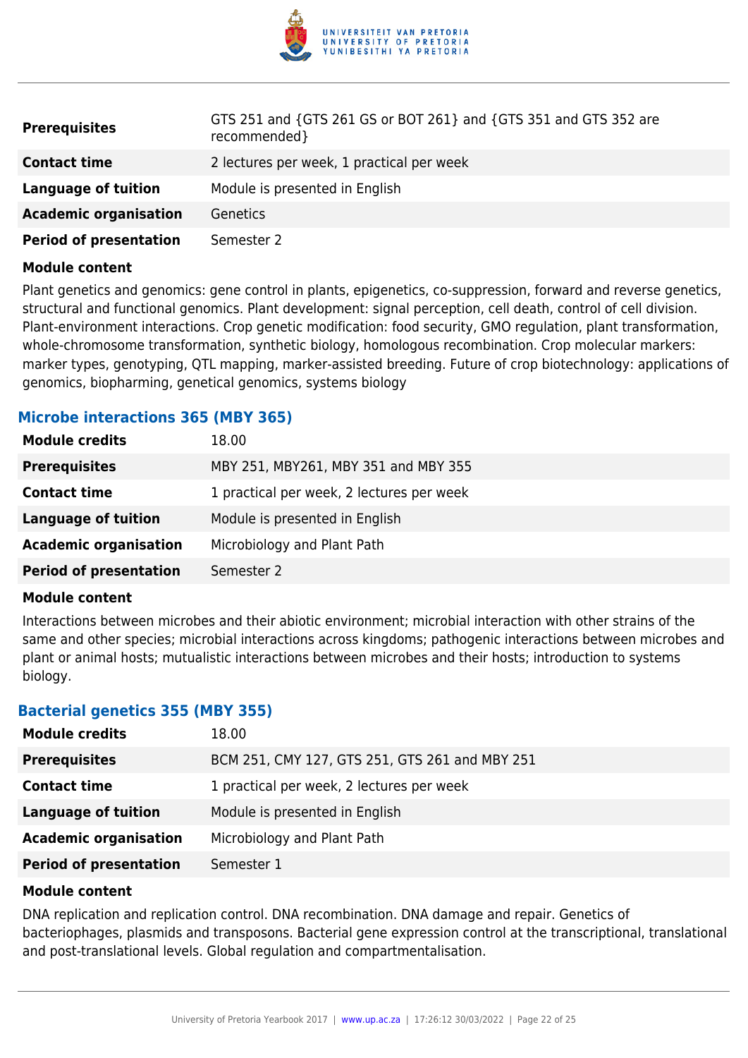

| <b>Prerequisites</b>          | GTS 251 and {GTS 261 GS or BOT 261} and {GTS 351 and GTS 352 are<br>recommended} |
|-------------------------------|----------------------------------------------------------------------------------|
| <b>Contact time</b>           | 2 lectures per week, 1 practical per week                                        |
| Language of tuition           | Module is presented in English                                                   |
| <b>Academic organisation</b>  | Genetics                                                                         |
| <b>Period of presentation</b> | Semester 2                                                                       |

Plant genetics and genomics: gene control in plants, epigenetics, co-suppression, forward and reverse genetics, structural and functional genomics. Plant development: signal perception, cell death, control of cell division. Plant-environment interactions. Crop genetic modification: food security, GMO regulation, plant transformation, whole-chromosome transformation, synthetic biology, homologous recombination. Crop molecular markers: marker types, genotyping, QTL mapping, marker-assisted breeding. Future of crop biotechnology: applications of genomics, biopharming, genetical genomics, systems biology

# **Microbe interactions 365 (MBY 365)**

| <b>Module credits</b>         | 18.00                                     |
|-------------------------------|-------------------------------------------|
| <b>Prerequisites</b>          | MBY 251, MBY261, MBY 351 and MBY 355      |
| <b>Contact time</b>           | 1 practical per week, 2 lectures per week |
| <b>Language of tuition</b>    | Module is presented in English            |
| <b>Academic organisation</b>  | Microbiology and Plant Path               |
| <b>Period of presentation</b> | Semester 2                                |

#### **Module content**

Interactions between microbes and their abiotic environment; microbial interaction with other strains of the same and other species; microbial interactions across kingdoms; pathogenic interactions between microbes and plant or animal hosts; mutualistic interactions between microbes and their hosts; introduction to systems biology.

# **Bacterial genetics 355 (MBY 355)**

| <b>Module credits</b>         | 18.00                                          |
|-------------------------------|------------------------------------------------|
| <b>Prerequisites</b>          | BCM 251, CMY 127, GTS 251, GTS 261 and MBY 251 |
| <b>Contact time</b>           | 1 practical per week, 2 lectures per week      |
| <b>Language of tuition</b>    | Module is presented in English                 |
| <b>Academic organisation</b>  | Microbiology and Plant Path                    |
| <b>Period of presentation</b> | Semester 1                                     |

#### **Module content**

DNA replication and replication control. DNA recombination. DNA damage and repair. Genetics of bacteriophages, plasmids and transposons. Bacterial gene expression control at the transcriptional, translational and post-translational levels. Global regulation and compartmentalisation.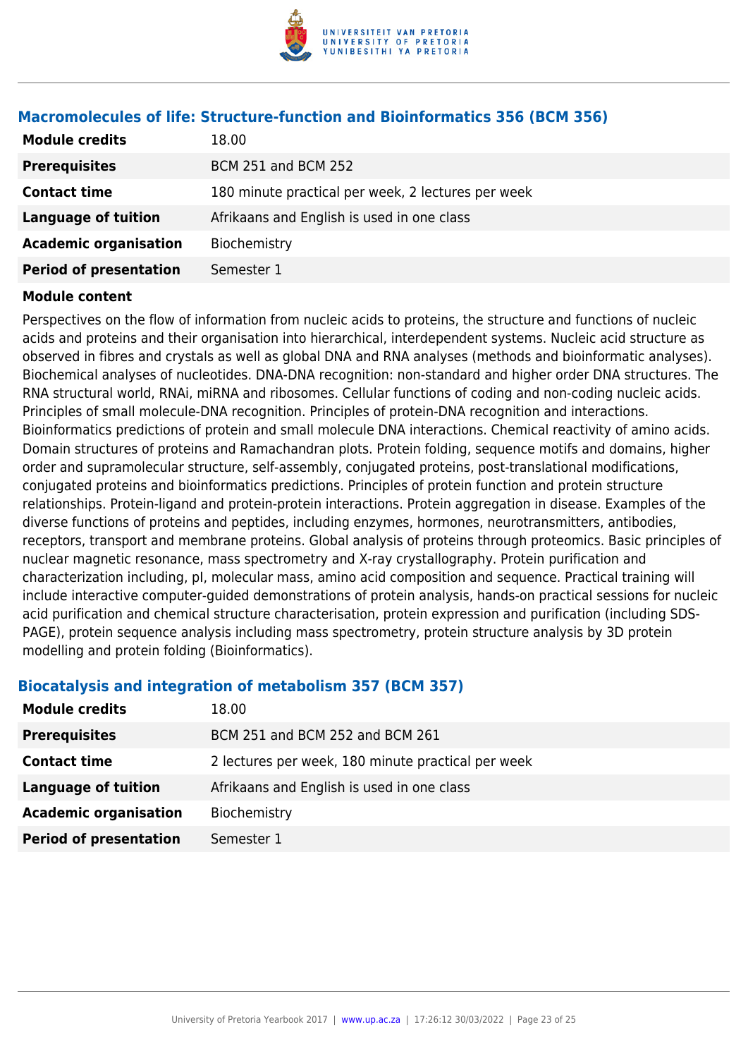

| <b>Module credits</b>         | 18.00                                              |
|-------------------------------|----------------------------------------------------|
| <b>Prerequisites</b>          | <b>BCM 251 and BCM 252</b>                         |
| <b>Contact time</b>           | 180 minute practical per week, 2 lectures per week |
| <b>Language of tuition</b>    | Afrikaans and English is used in one class         |
| <b>Academic organisation</b>  | Biochemistry                                       |
| <b>Period of presentation</b> | Semester 1                                         |

# **Macromolecules of life: Structure-function and Bioinformatics 356 (BCM 356)**

#### **Module content**

Perspectives on the flow of information from nucleic acids to proteins, the structure and functions of nucleic acids and proteins and their organisation into hierarchical, interdependent systems. Nucleic acid structure as observed in fibres and crystals as well as global DNA and RNA analyses (methods and bioinformatic analyses). Biochemical analyses of nucleotides. DNA-DNA recognition: non-standard and higher order DNA structures. The RNA structural world, RNAi, miRNA and ribosomes. Cellular functions of coding and non-coding nucleic acids. Principles of small molecule-DNA recognition. Principles of protein-DNA recognition and interactions. Bioinformatics predictions of protein and small molecule DNA interactions. Chemical reactivity of amino acids. Domain structures of proteins and Ramachandran plots. Protein folding, sequence motifs and domains, higher order and supramolecular structure, self-assembly, conjugated proteins, post-translational modifications, conjugated proteins and bioinformatics predictions. Principles of protein function and protein structure relationships. Protein-ligand and protein-protein interactions. Protein aggregation in disease. Examples of the diverse functions of proteins and peptides, including enzymes, hormones, neurotransmitters, antibodies, receptors, transport and membrane proteins. Global analysis of proteins through proteomics. Basic principles of nuclear magnetic resonance, mass spectrometry and X-ray crystallography. Protein purification and characterization including, pI, molecular mass, amino acid composition and sequence. Practical training will include interactive computer-guided demonstrations of protein analysis, hands-on practical sessions for nucleic acid purification and chemical structure characterisation, protein expression and purification (including SDS-PAGE), protein sequence analysis including mass spectrometry, protein structure analysis by 3D protein modelling and protein folding (Bioinformatics).

# **Biocatalysis and integration of metabolism 357 (BCM 357)**

| <b>Module credits</b>         | 18.00                                              |
|-------------------------------|----------------------------------------------------|
| <b>Prerequisites</b>          | BCM 251 and BCM 252 and BCM 261                    |
| <b>Contact time</b>           | 2 lectures per week, 180 minute practical per week |
| Language of tuition           | Afrikaans and English is used in one class         |
| <b>Academic organisation</b>  | Biochemistry                                       |
| <b>Period of presentation</b> | Semester 1                                         |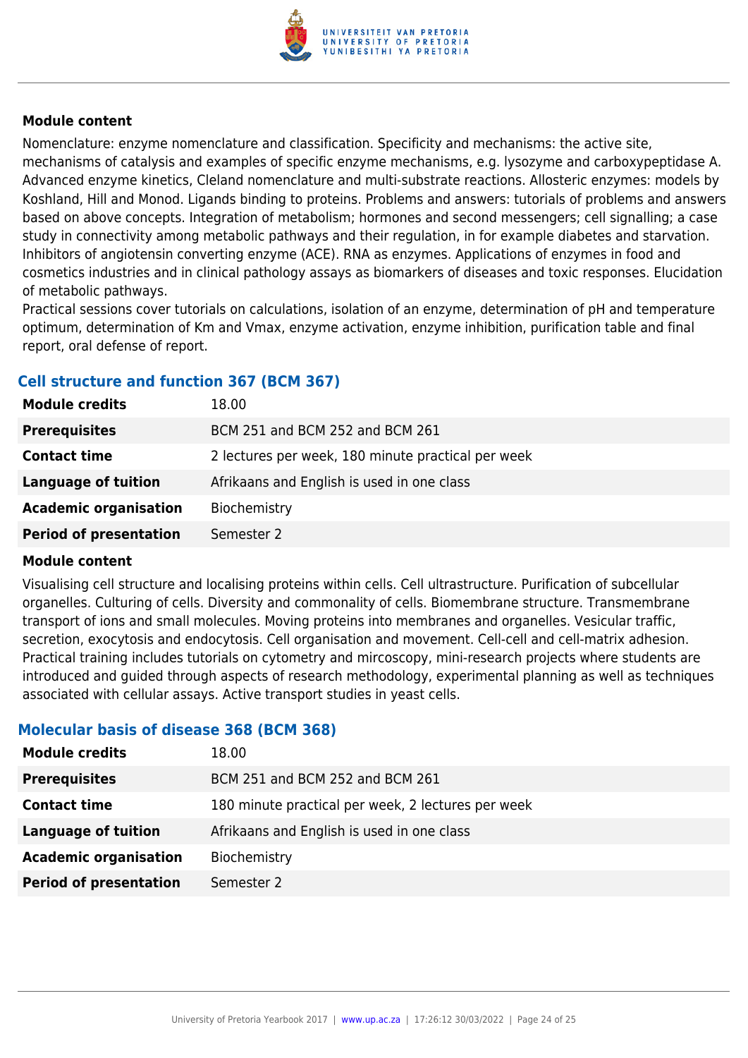

Nomenclature: enzyme nomenclature and classification. Specificity and mechanisms: the active site, mechanisms of catalysis and examples of specific enzyme mechanisms, e.g. lysozyme and carboxypeptidase A. Advanced enzyme kinetics, Cleland nomenclature and multi-substrate reactions. Allosteric enzymes: models by Koshland, Hill and Monod. Ligands binding to proteins. Problems and answers: tutorials of problems and answers based on above concepts. Integration of metabolism; hormones and second messengers; cell signalling; a case study in connectivity among metabolic pathways and their regulation, in for example diabetes and starvation. Inhibitors of angiotensin converting enzyme (ACE). RNA as enzymes. Applications of enzymes in food and cosmetics industries and in clinical pathology assays as biomarkers of diseases and toxic responses. Elucidation of metabolic pathways.

Practical sessions cover tutorials on calculations, isolation of an enzyme, determination of pH and temperature optimum, determination of Km and Vmax, enzyme activation, enzyme inhibition, purification table and final report, oral defense of report.

# **Cell structure and function 367 (BCM 367)**

| <b>Module credits</b>         | 18.00                                              |
|-------------------------------|----------------------------------------------------|
| <b>Prerequisites</b>          | BCM 251 and BCM 252 and BCM 261                    |
| <b>Contact time</b>           | 2 lectures per week, 180 minute practical per week |
| Language of tuition           | Afrikaans and English is used in one class         |
| <b>Academic organisation</b>  | Biochemistry                                       |
| <b>Period of presentation</b> | Semester 2                                         |

# **Module content**

Visualising cell structure and localising proteins within cells. Cell ultrastructure. Purification of subcellular organelles. Culturing of cells. Diversity and commonality of cells. Biomembrane structure. Transmembrane transport of ions and small molecules. Moving proteins into membranes and organelles. Vesicular traffic, secretion, exocytosis and endocytosis. Cell organisation and movement. Cell-cell and cell-matrix adhesion. Practical training includes tutorials on cytometry and mircoscopy, mini-research projects where students are introduced and guided through aspects of research methodology, experimental planning as well as techniques associated with cellular assays. Active transport studies in yeast cells.

# **Molecular basis of disease 368 (BCM 368)**

| 18.00                                              |
|----------------------------------------------------|
| BCM 251 and BCM 252 and BCM 261                    |
| 180 minute practical per week, 2 lectures per week |
| Afrikaans and English is used in one class         |
| Biochemistry                                       |
| Semester 2                                         |
|                                                    |